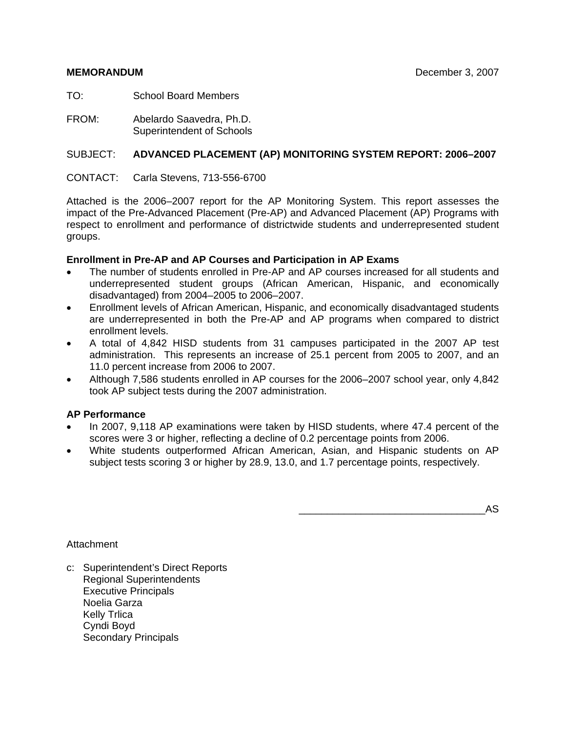TO: School Board Members

FROM: Abelardo Saavedra, Ph.D. Superintendent of Schools

### SUBJECT: **ADVANCED PLACEMENT (AP) MONITORING SYSTEM REPORT: 2006–2007**

CONTACT: Carla Stevens, 713-556-6700

Attached is the 2006–2007 report for the AP Monitoring System. This report assesses the impact of the Pre-Advanced Placement (Pre-AP) and Advanced Placement (AP) Programs with respect to enrollment and performance of districtwide students and underrepresented student groups.

#### **Enrollment in Pre-AP and AP Courses and Participation in AP Exams**

- The number of students enrolled in Pre-AP and AP courses increased for all students and underrepresented student groups (African American, Hispanic, and economically disadvantaged) from 2004–2005 to 2006–2007.
- Enrollment levels of African American, Hispanic, and economically disadvantaged students are underrepresented in both the Pre-AP and AP programs when compared to district enrollment levels.
- A total of 4,842 HISD students from 31 campuses participated in the 2007 AP test administration. This represents an increase of 25.1 percent from 2005 to 2007, and an 11.0 percent increase from 2006 to 2007.
- Although 7,586 students enrolled in AP courses for the 2006–2007 school year, only 4,842 took AP subject tests during the 2007 administration.

#### **AP Performance**

- In 2007, 9,118 AP examinations were taken by HISD students, where 47.4 percent of the scores were 3 or higher, reflecting a decline of 0.2 percentage points from 2006.
- White students outperformed African American, Asian, and Hispanic students on AP subject tests scoring 3 or higher by 28.9, 13.0, and 1.7 percentage points, respectively.

\_\_\_\_\_\_\_\_\_\_\_\_\_\_\_\_\_\_\_\_\_\_\_\_\_\_\_\_\_\_\_\_\_AS

**Attachment** 

c: Superintendent's Direct Reports Regional Superintendents Executive Principals Noelia Garza Kelly Trlica Cyndi Boyd Secondary Principals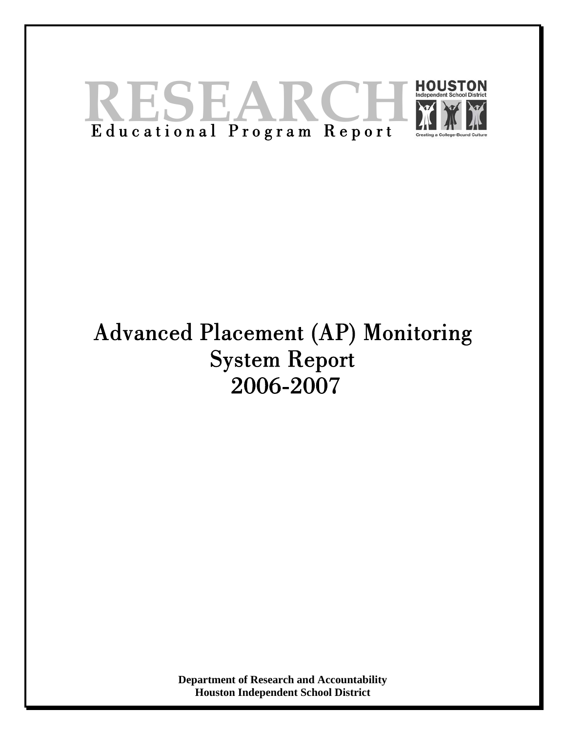

# Advanced Placement (AP) Monitoring System Report 2006-2007

**Department of Research and Accountability Houston Independent School District**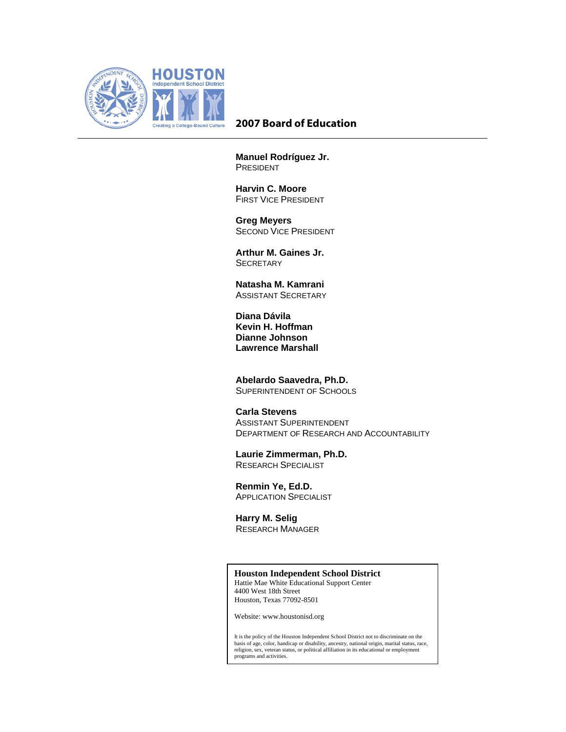

#### **2007 Board of Education**

**Manuel Rodríguez Jr.**  PRESIDENT

**Harvin C. Moore**  FIRST VICE PRESIDENT

 **Greg Meyers**  SECOND VICE PRESIDENT

**Arthur M. Gaines Jr. SECRETARY** 

**Natasha M. Kamrani**  ASSISTANT SECRETARY

 **Diana Dávila Kevin H. Hoffman Dianne Johnson Lawrence Marshall** 

**Abelardo Saavedra, Ph.D.**  SUPERINTENDENT OF SCHOOLS

# **Carla Stevens**

 ASSISTANT SUPERINTENDENT DEPARTMENT OF RESEARCH AND ACCOUNTABILITY

**Laurie Zimmerman, Ph.D.**  RESEARCH SPECIALIST

**Renmin Ye, Ed.D.**  APPLICATION SPECIALIST

**Harry M. Selig**  RESEARCH MANAGER

#### **Houston Independent School District**

Hattie Mae White Educational Support Center 4400 West 18th Street Houston, Texas 77092-8501

Website: www.houstonisd.org

It is the policy of the Houston Independent School District not to discriminate on the basis of age, color, handicap or disability, ancestry, national origin, marital status, race, religion, sex, veteran status, or political affiliation in its educational or employment programs and activities.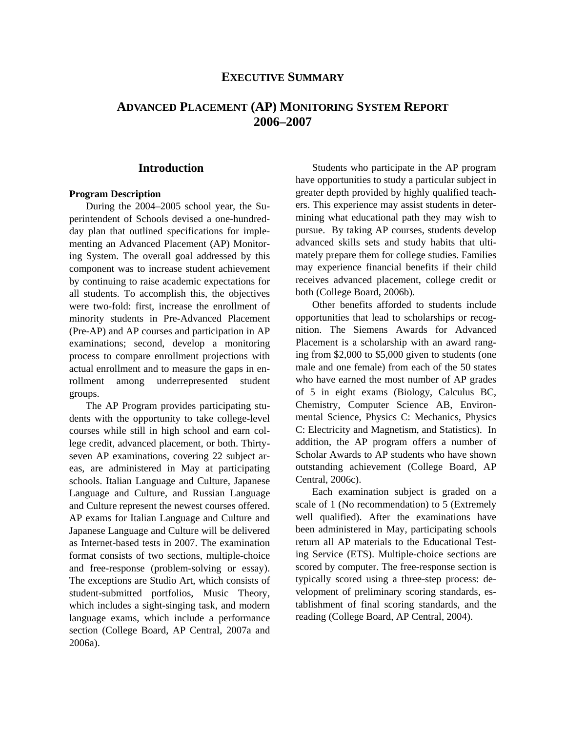#### **EXECUTIVE SUMMARY**

# **ADVANCED PLACEMENT (AP) MONITORING SYSTEM REPORT 2006–2007**

#### **Introduction**

#### **Program Description**

During the 2004–2005 school year, the Superintendent of Schools devised a one-hundredday plan that outlined specifications for implementing an Advanced Placement (AP) Monitoring System. The overall goal addressed by this component was to increase student achievement by continuing to raise academic expectations for all students. To accomplish this, the objectives were two-fold: first, increase the enrollment of minority students in Pre-Advanced Placement (Pre-AP) and AP courses and participation in AP examinations; second, develop a monitoring process to compare enrollment projections with actual enrollment and to measure the gaps in enrollment among underrepresented student groups.

The AP Program provides participating students with the opportunity to take college-level courses while still in high school and earn college credit, advanced placement, or both. Thirtyseven AP examinations, covering 22 subject areas, are administered in May at participating schools. Italian Language and Culture, Japanese Language and Culture, and Russian Language and Culture represent the newest courses offered. AP exams for Italian Language and Culture and Japanese Language and Culture will be delivered as Internet-based tests in 2007. The examination format consists of two sections, multiple-choice and free-response (problem-solving or essay). The exceptions are Studio Art, which consists of student-submitted portfolios, Music Theory, which includes a sight-singing task, and modern language exams, which include a performance section (College Board, AP Central, 2007a and 2006a).

Students who participate in the AP program have opportunities to study a particular subject in greater depth provided by highly qualified teachers. This experience may assist students in determining what educational path they may wish to pursue. By taking AP courses, students develop advanced skills sets and study habits that ultimately prepare them for college studies. Families may experience financial benefits if their child receives advanced placement, college credit or both (College Board, 2006b).

Other benefits afforded to students include opportunities that lead to scholarships or recognition. The Siemens Awards for Advanced Placement is a scholarship with an award ranging from \$2,000 to \$5,000 given to students (one male and one female) from each of the 50 states who have earned the most number of AP grades of 5 in eight exams (Biology, Calculus BC, Chemistry, Computer Science AB, Environmental Science, Physics C: Mechanics, Physics C: Electricity and Magnetism, and Statistics). In addition, the AP program offers a number of Scholar Awards to AP students who have shown outstanding achievement (College Board, AP Central, 2006c).

Each examination subject is graded on a scale of 1 (No recommendation) to 5 (Extremely well qualified). After the examinations have been administered in May, participating schools return all AP materials to the Educational Testing Service (ETS). Multiple-choice sections are scored by computer. The free-response section is typically scored using a three-step process: development of preliminary scoring standards, establishment of final scoring standards, and the reading (College Board, AP Central, 2004).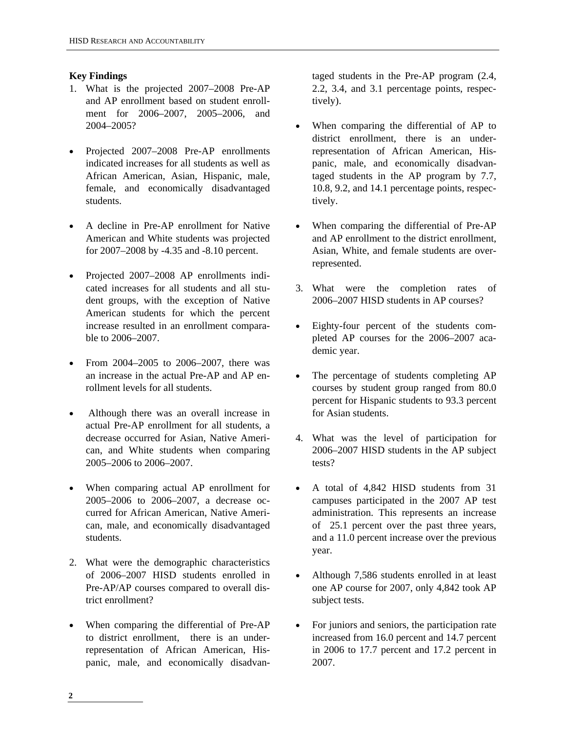#### **Key Findings**

- 1. What is the projected 2007–2008 Pre-AP and AP enrollment based on student enrollment for 2006–2007, 2005–2006, and 2004–2005?
- Projected 2007–2008 Pre-AP enrollments indicated increases for all students as well as African American, Asian, Hispanic, male, female, and economically disadvantaged students.
- A decline in Pre-AP enrollment for Native American and White students was projected for 2007–2008 by -4.35 and -8.10 percent.
- Projected 2007–2008 AP enrollments indicated increases for all students and all student groups, with the exception of Native American students for which the percent increase resulted in an enrollment comparable to 2006–2007.
- From 2004–2005 to 2006–2007, there was an increase in the actual Pre-AP and AP enrollment levels for all students.
- Although there was an overall increase in actual Pre-AP enrollment for all students, a decrease occurred for Asian, Native American, and White students when comparing 2005–2006 to 2006–2007.
- When comparing actual AP enrollment for 2005–2006 to 2006–2007, a decrease occurred for African American, Native American, male, and economically disadvantaged students.
- 2. What were the demographic characteristics of 2006–2007 HISD students enrolled in Pre-AP/AP courses compared to overall district enrollment?
- When comparing the differential of Pre-AP to district enrollment, there is an underrepresentation of African American, Hispanic, male, and economically disadvan-

taged students in the Pre-AP program (2.4, 2.2, 3.4, and 3.1 percentage points, respectively).

- When comparing the differential of AP to district enrollment, there is an underrepresentation of African American, Hispanic, male, and economically disadvantaged students in the AP program by 7.7, 10.8, 9.2, and 14.1 percentage points, respectively.
- When comparing the differential of Pre-AP and AP enrollment to the district enrollment, Asian, White, and female students are overrepresented.
- 3. What were the completion rates of 2006–2007 HISD students in AP courses?
- Eighty-four percent of the students completed AP courses for the 2006–2007 academic year.
- The percentage of students completing AP courses by student group ranged from 80.0 percent for Hispanic students to 93.3 percent for Asian students.
- 4. What was the level of participation for 2006–2007 HISD students in the AP subject tests?
- A total of 4,842 HISD students from 31 campuses participated in the 2007 AP test administration. This represents an increase of 25.1 percent over the past three years, and a 11.0 percent increase over the previous year.
- Although 7,586 students enrolled in at least one AP course for 2007, only 4,842 took AP subject tests.
- For juniors and seniors, the participation rate increased from 16.0 percent and 14.7 percent in 2006 to 17.7 percent and 17.2 percent in 2007.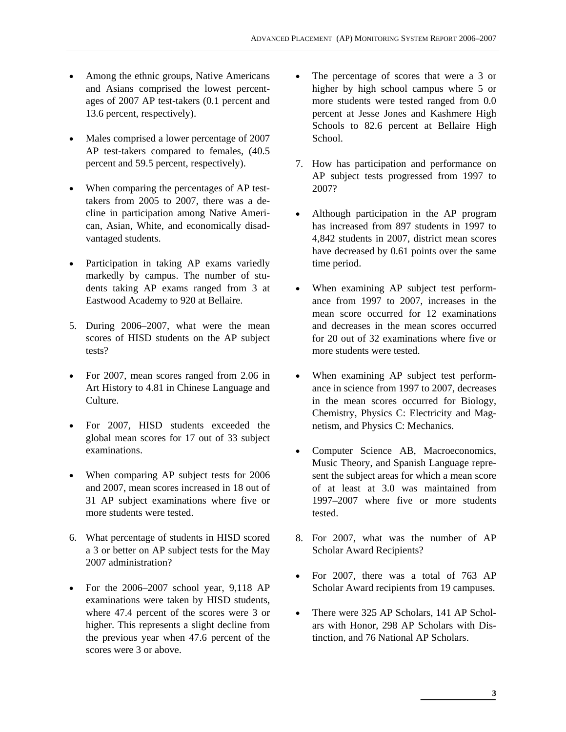- Among the ethnic groups, Native Americans and Asians comprised the lowest percentages of 2007 AP test-takers (0.1 percent and 13.6 percent, respectively).
- Males comprised a lower percentage of 2007 AP test-takers compared to females, (40.5 percent and 59.5 percent, respectively).
- When comparing the percentages of AP testtakers from 2005 to 2007, there was a decline in participation among Native American, Asian, White, and economically disadvantaged students.
- Participation in taking AP exams variedly markedly by campus. The number of students taking AP exams ranged from 3 at Eastwood Academy to 920 at Bellaire.
- 5. During 2006–2007, what were the mean scores of HISD students on the AP subject tests?
- For 2007, mean scores ranged from 2.06 in Art History to 4.81 in Chinese Language and Culture.
- For 2007, HISD students exceeded the global mean scores for 17 out of 33 subject examinations.
- When comparing AP subject tests for 2006 and 2007, mean scores increased in 18 out of 31 AP subject examinations where five or more students were tested.
- 6. What percentage of students in HISD scored a 3 or better on AP subject tests for the May 2007 administration?
- For the 2006–2007 school year, 9,118 AP examinations were taken by HISD students, where 47.4 percent of the scores were 3 or higher. This represents a slight decline from the previous year when 47.6 percent of the scores were 3 or above.
- The percentage of scores that were a 3 or higher by high school campus where 5 or more students were tested ranged from 0.0 percent at Jesse Jones and Kashmere High Schools to 82.6 percent at Bellaire High School.
- 7. How has participation and performance on AP subject tests progressed from 1997 to 2007?
- Although participation in the AP program has increased from 897 students in 1997 to 4,842 students in 2007, district mean scores have decreased by 0.61 points over the same time period.
- When examining AP subject test performance from 1997 to 2007, increases in the mean score occurred for 12 examinations and decreases in the mean scores occurred for 20 out of 32 examinations where five or more students were tested.
- When examining AP subject test performance in science from 1997 to 2007, decreases in the mean scores occurred for Biology, Chemistry, Physics C: Electricity and Magnetism, and Physics C: Mechanics.
- Computer Science AB, Macroeconomics, Music Theory, and Spanish Language represent the subject areas for which a mean score of at least at 3.0 was maintained from 1997–2007 where five or more students tested.
- 8. For 2007, what was the number of AP Scholar Award Recipients?
- For 2007, there was a total of 763 AP Scholar Award recipients from 19 campuses.
- There were 325 AP Scholars, 141 AP Scholars with Honor, 298 AP Scholars with Distinction, and 76 National AP Scholars.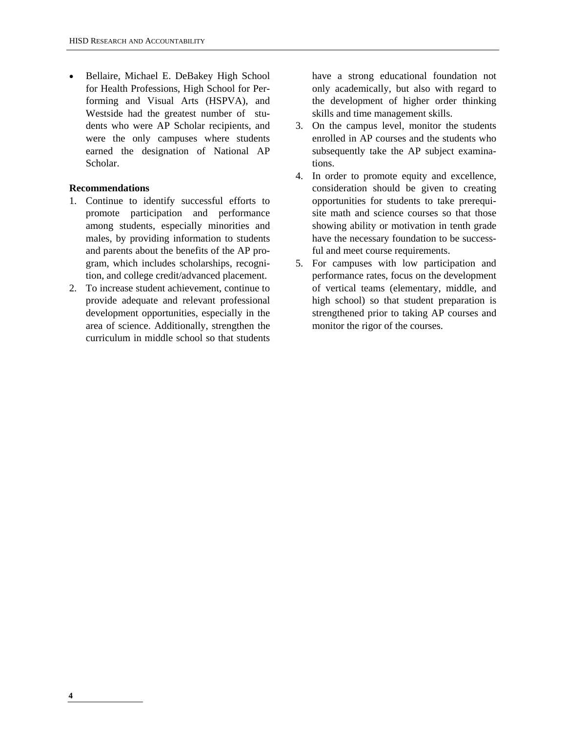• Bellaire, Michael E. DeBakey High School for Health Professions, High School for Performing and Visual Arts (HSPVA), and Westside had the greatest number of students who were AP Scholar recipients, and were the only campuses where students earned the designation of National AP Scholar.

#### **Recommendations**

- 1. Continue to identify successful efforts to promote participation and performance among students, especially minorities and males, by providing information to students and parents about the benefits of the AP program, which includes scholarships, recognition, and college credit/advanced placement.
- 2. To increase student achievement, continue to provide adequate and relevant professional development opportunities, especially in the area of science. Additionally, strengthen the curriculum in middle school so that students

have a strong educational foundation not only academically, but also with regard to the development of higher order thinking skills and time management skills.

- 3. On the campus level, monitor the students enrolled in AP courses and the students who subsequently take the AP subject examinations.
- 4. In order to promote equity and excellence, consideration should be given to creating opportunities for students to take prerequisite math and science courses so that those showing ability or motivation in tenth grade have the necessary foundation to be successful and meet course requirements.
- 5. For campuses with low participation and performance rates, focus on the development of vertical teams (elementary, middle, and high school) so that student preparation is strengthened prior to taking AP courses and monitor the rigor of the courses.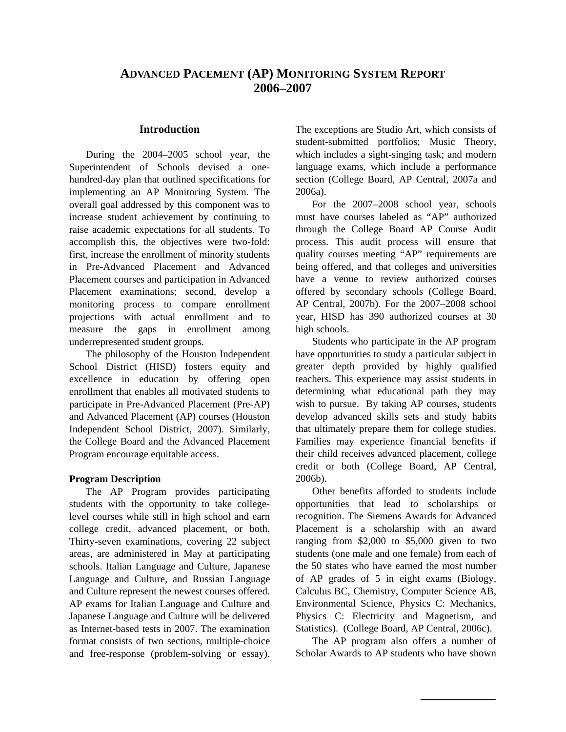# **ADVANCED PACEMENT (AP) MONITORING SYSTEM REPORT 2006–2007**

#### **Introduction**

During the 2004–2005 school year, the Superintendent of Schools devised a onehundred-day plan that outlined specifications for implementing an AP Monitoring System. The overall goal addressed by this component was to increase student achievement by continuing to raise academic expectations for all students. To accomplish this, the objectives were two-fold: first, increase the enrollment of minority students in Pre-Advanced Placement and Advanced Placement courses and participation in Advanced Placement examinations; second, develop a monitoring process to compare enrollment projections with actual enrollment and to measure the gaps in enrollment among underrepresented student groups.

The philosophy of the Houston Independent School District (HISD) fosters equity and excellence in education by offering open enrollment that enables all motivated students to participate in Pre-Advanced Placement (Pre-AP) and Advanced Placement (AP) courses (Houston Independent School District, 2007). Similarly, the College Board and the Advanced Placement Program encourage equitable access.

#### **Program Description**

The AP Program provides participating students with the opportunity to take collegelevel courses while still in high school and earn college credit, advanced placement, or both. Thirty-seven examinations, covering 22 subject areas, are administered in May at participating schools. Italian Language and Culture, Japanese Language and Culture, and Russian Language and Culture represent the newest courses offered. AP exams for Italian Language and Culture and Japanese Language and Culture will be delivered as Internet-based tests in 2007. The examination format consists of two sections, multiple-choice and free-response (problem-solving or essay). The exceptions are Studio Art, which consists of student-submitted portfolios; Music Theory, which includes a sight-singing task; and modern language exams, which include a performance section (College Board, AP Central, 2007a and 2006a).

For the 2007–2008 school year, schools must have courses labeled as "AP" authorized through the College Board AP Course Audit process. This audit process will ensure that quality courses meeting "AP" requirements are being offered, and that colleges and universities have a venue to review authorized courses offered by secondary schools (College Board, AP Central, 2007b). For the 2007–2008 school year, HISD has 390 authorized courses at 30 high schools.

Students who participate in the AP program have opportunities to study a particular subject in greater depth provided by highly qualified teachers. This experience may assist students in determining what educational path they may wish to pursue. By taking AP courses, students develop advanced skills sets and study habits that ultimately prepare them for college studies. Families may experience financial benefits if their child receives advanced placement, college credit or both (College Board, AP Central, 2006b).

Other benefits afforded to students include opportunities that lead to scholarships or recognition. The Siemens Awards for Advanced Placement is a scholarship with an award ranging from \$2,000 to \$5,000 given to two students (one male and one female) from each of the 50 states who have earned the most number of AP grades of 5 in eight exams (Biology, Calculus BC, Chemistry, Computer Science AB, Environmental Science, Physics C: Mechanics, Physics C: Electricity and Magnetism, and Statistics). (College Board, AP Central, 2006c).

The AP program also offers a number of Scholar Awards to AP students who have shown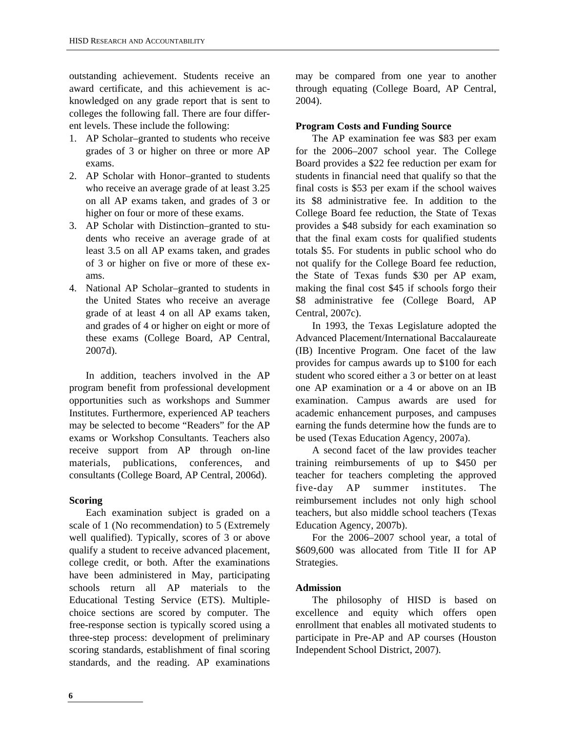outstanding achievement. Students receive an award certificate, and this achievement is acknowledged on any grade report that is sent to colleges the following fall. There are four different levels. These include the following:

- 1. AP Scholar–granted to students who receive grades of 3 or higher on three or more AP exams.
- 2. AP Scholar with Honor–granted to students who receive an average grade of at least 3.25 on all AP exams taken, and grades of 3 or higher on four or more of these exams.
- 3. AP Scholar with Distinction–granted to students who receive an average grade of at least 3.5 on all AP exams taken, and grades of 3 or higher on five or more of these exams.
- 4. National AP Scholar–granted to students in the United States who receive an average grade of at least 4 on all AP exams taken, and grades of 4 or higher on eight or more of these exams (College Board, AP Central, 2007d).

In addition, teachers involved in the AP program benefit from professional development opportunities such as workshops and Summer Institutes. Furthermore, experienced AP teachers may be selected to become "Readers" for the AP exams or Workshop Consultants. Teachers also receive support from AP through on-line materials, publications, conferences, and consultants (College Board, AP Central, 2006d).

#### **Scoring**

Each examination subject is graded on a scale of 1 (No recommendation) to 5 (Extremely well qualified). Typically, scores of 3 or above qualify a student to receive advanced placement, college credit, or both. After the examinations have been administered in May, participating schools return all AP materials to the Educational Testing Service (ETS). Multiplechoice sections are scored by computer. The free-response section is typically scored using a three-step process: development of preliminary scoring standards, establishment of final scoring standards, and the reading. AP examinations may be compared from one year to another through equating (College Board, AP Central, 2004).

#### **Program Costs and Funding Source**

The AP examination fee was \$83 per exam for the 2006–2007 school year. The College Board provides a \$22 fee reduction per exam for students in financial need that qualify so that the final costs is \$53 per exam if the school waives its \$8 administrative fee. In addition to the College Board fee reduction, the State of Texas provides a \$48 subsidy for each examination so that the final exam costs for qualified students totals \$5. For students in public school who do not qualify for the College Board fee reduction, the State of Texas funds \$30 per AP exam, making the final cost \$45 if schools forgo their \$8 administrative fee (College Board, AP Central, 2007c).

In 1993, the Texas Legislature adopted the Advanced Placement/International Baccalaureate (IB) Incentive Program. One facet of the law provides for campus awards up to \$100 for each student who scored either a 3 or better on at least one AP examination or a 4 or above on an IB examination. Campus awards are used for academic enhancement purposes, and campuses earning the funds determine how the funds are to be used (Texas Education Agency, 2007a).

A second facet of the law provides teacher training reimbursements of up to \$450 per teacher for teachers completing the approved five-day AP summer institutes. The reimbursement includes not only high school teachers, but also middle school teachers (Texas Education Agency, 2007b).

For the 2006–2007 school year, a total of \$609,600 was allocated from Title II for AP Strategies.

#### **Admission**

The philosophy of HISD is based on excellence and equity which offers open enrollment that enables all motivated students to participate in Pre-AP and AP courses (Houston Independent School District, 2007).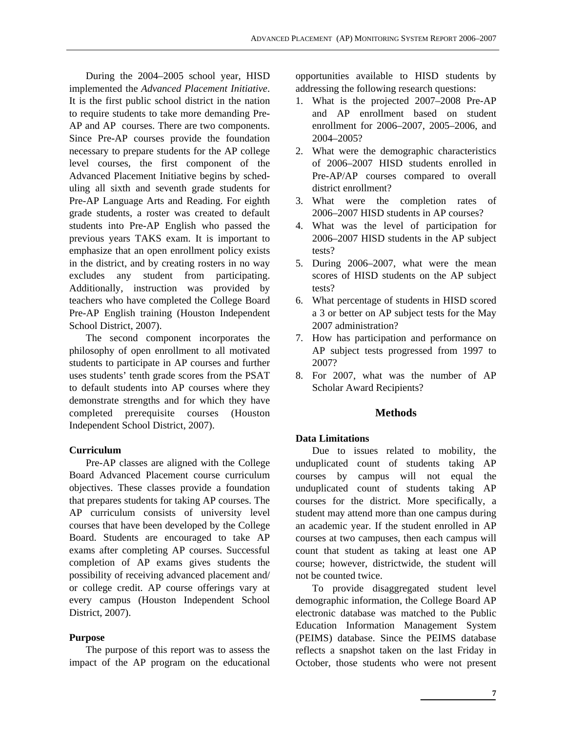During the 2004–2005 school year, HISD implemented the *Advanced Placement Initiative*. It is the first public school district in the nation to require students to take more demanding Pre-AP and AP courses. There are two components. Since Pre-AP courses provide the foundation necessary to prepare students for the AP college level courses, the first component of the Advanced Placement Initiative begins by scheduling all sixth and seventh grade students for Pre-AP Language Arts and Reading. For eighth grade students, a roster was created to default students into Pre-AP English who passed the previous years TAKS exam. It is important to emphasize that an open enrollment policy exists in the district, and by creating rosters in no way excludes any student from participating. Additionally, instruction was provided by teachers who have completed the College Board Pre-AP English training (Houston Independent School District, 2007).

The second component incorporates the philosophy of open enrollment to all motivated students to participate in AP courses and further uses students' tenth grade scores from the PSAT to default students into AP courses where they demonstrate strengths and for which they have completed prerequisite courses (Houston Independent School District, 2007).

#### **Curriculum**

Pre-AP classes are aligned with the College Board Advanced Placement course curriculum objectives. These classes provide a foundation that prepares students for taking AP courses. The AP curriculum consists of university level courses that have been developed by the College Board. Students are encouraged to take AP exams after completing AP courses. Successful completion of AP exams gives students the possibility of receiving advanced placement and/ or college credit. AP course offerings vary at every campus (Houston Independent School District, 2007).

#### **Purpose**

The purpose of this report was to assess the impact of the AP program on the educational opportunities available to HISD students by addressing the following research questions:

- 1. What is the projected 2007–2008 Pre-AP and AP enrollment based on student enrollment for 2006–2007, 2005–2006, and 2004–2005?
- 2. What were the demographic characteristics of 2006–2007 HISD students enrolled in Pre-AP/AP courses compared to overall district enrollment?
- 3. What were the completion rates of 2006–2007 HISD students in AP courses?
- 4. What was the level of participation for 2006–2007 HISD students in the AP subject tests?
- 5. During 2006–2007, what were the mean scores of HISD students on the AP subject tests?
- 6. What percentage of students in HISD scored a 3 or better on AP subject tests for the May 2007 administration?
- 7. How has participation and performance on AP subject tests progressed from 1997 to 2007?
- 8. For 2007, what was the number of AP Scholar Award Recipients?

#### **Methods**

#### **Data Limitations**

Due to issues related to mobility, the unduplicated count of students taking AP courses by campus will not equal the unduplicated count of students taking AP courses for the district. More specifically, a student may attend more than one campus during an academic year. If the student enrolled in AP courses at two campuses, then each campus will count that student as taking at least one AP course; however, districtwide, the student will not be counted twice.

To provide disaggregated student level demographic information, the College Board AP electronic database was matched to the Public Education Information Management System (PEIMS) database. Since the PEIMS database reflects a snapshot taken on the last Friday in October, those students who were not present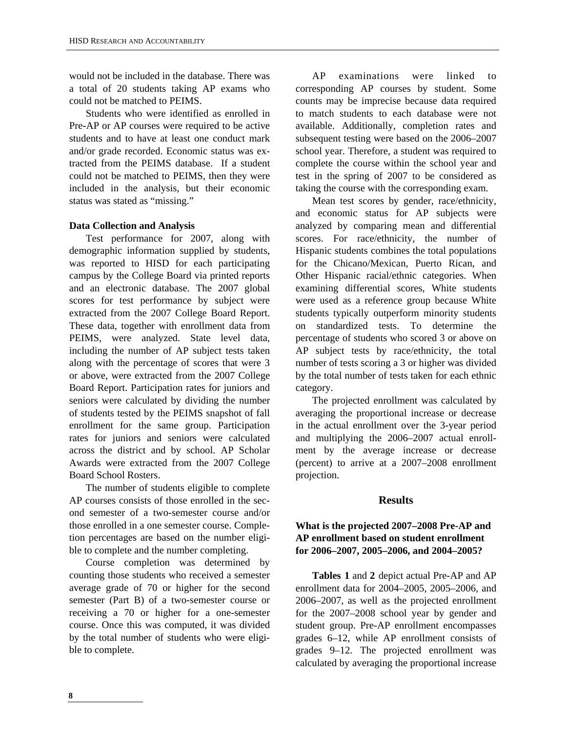would not be included in the database. There was a total of 20 students taking AP exams who could not be matched to PEIMS.

Students who were identified as enrolled in Pre-AP or AP courses were required to be active students and to have at least one conduct mark and/or grade recorded. Economic status was extracted from the PEIMS database. If a student could not be matched to PEIMS, then they were included in the analysis, but their economic status was stated as "missing."

#### **Data Collection and Analysis**

Test performance for 2007, along with demographic information supplied by students, was reported to HISD for each participating campus by the College Board via printed reports and an electronic database. The 2007 global scores for test performance by subject were extracted from the 2007 College Board Report. These data, together with enrollment data from PEIMS, were analyzed. State level data, including the number of AP subject tests taken along with the percentage of scores that were 3 or above, were extracted from the 2007 College Board Report. Participation rates for juniors and seniors were calculated by dividing the number of students tested by the PEIMS snapshot of fall enrollment for the same group. Participation rates for juniors and seniors were calculated across the district and by school. AP Scholar Awards were extracted from the 2007 College Board School Rosters.

The number of students eligible to complete AP courses consists of those enrolled in the second semester of a two-semester course and/or those enrolled in a one semester course. Completion percentages are based on the number eligible to complete and the number completing.

Course completion was determined by counting those students who received a semester average grade of 70 or higher for the second semester (Part B) of a two-semester course or receiving a 70 or higher for a one-semester course. Once this was computed, it was divided by the total number of students who were eligible to complete.

AP examinations were linked to corresponding AP courses by student. Some counts may be imprecise because data required to match students to each database were not available. Additionally, completion rates and subsequent testing were based on the 2006–2007 school year. Therefore, a student was required to complete the course within the school year and test in the spring of 2007 to be considered as taking the course with the corresponding exam.

Mean test scores by gender, race/ethnicity, and economic status for AP subjects were analyzed by comparing mean and differential scores. For race/ethnicity, the number of Hispanic students combines the total populations for the Chicano/Mexican, Puerto Rican, and Other Hispanic racial/ethnic categories. When examining differential scores, White students were used as a reference group because White students typically outperform minority students on standardized tests. To determine the percentage of students who scored 3 or above on AP subject tests by race/ethnicity, the total number of tests scoring a 3 or higher was divided by the total number of tests taken for each ethnic category.

The projected enrollment was calculated by averaging the proportional increase or decrease in the actual enrollment over the 3-year period and multiplying the 2006–2007 actual enrollment by the average increase or decrease (percent) to arrive at a 2007–2008 enrollment projection.

#### **Results**

#### **What is the projected 2007–2008 Pre-AP and AP enrollment based on student enrollment for 2006–2007, 2005–2006, and 2004–2005?**

**Tables 1** and **2** depict actual Pre-AP and AP enrollment data for 2004–2005, 2005–2006, and 2006–2007, as well as the projected enrollment for the 2007–2008 school year by gender and student group. Pre-AP enrollment encompasses grades 6–12, while AP enrollment consists of grades 9–12. The projected enrollment was calculated by averaging the proportional increase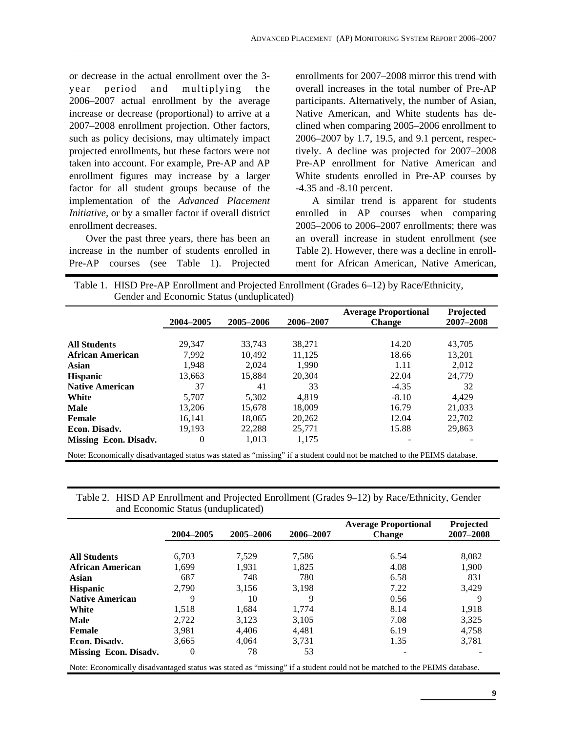or decrease in the actual enrollment over the 3 year period and multiplying the 2006–2007 actual enrollment by the average increase or decrease (proportional) to arrive at a 2007–2008 enrollment projection. Other factors, such as policy decisions, may ultimately impact projected enrollments, but these factors were not taken into account. For example, Pre-AP and AP enrollment figures may increase by a larger factor for all student groups because of the implementation of the *Advanced Placement Initiative,* or by a smaller factor if overall district enrollment decreases.

Over the past three years, there has been an increase in the number of students enrolled in Pre-AP courses (see Table 1). Projected

enrollments for 2007–2008 mirror this trend with overall increases in the total number of Pre-AP participants. Alternatively, the number of Asian, Native American, and White students has declined when comparing 2005–2006 enrollment to 2006–2007 by 1.7, 19.5, and 9.1 percent, respectively. A decline was projected for 2007–2008 Pre-AP enrollment for Native American and White students enrolled in Pre-AP courses by -4.35 and -8.10 percent.

A similar trend is apparent for students enrolled in AP courses when comparing 2005–2006 to 2006–2007 enrollments; there was an overall increase in student enrollment (see Table 2). However, there was a decline in enrollment for African American, Native American,

Table 1. HISD Pre-AP Enrollment and Projected Enrollment (Grades 6–12) by Race/Ethnicity, Gender and Economic Status (unduplicated)

|                         | 2004-2005 | 2005-2006 | 2006–2007 | <b>Average Proportional</b><br><b>Change</b> | Projected<br>2007-2008 |
|-------------------------|-----------|-----------|-----------|----------------------------------------------|------------------------|
|                         |           |           |           |                                              |                        |
| <b>All Students</b>     | 29.347    | 33,743    | 38.271    | 14.20                                        | 43,705                 |
| <b>African American</b> | 7.992     | 10.492    | 11.125    | 18.66                                        | 13.201                 |
| Asian                   | 1.948     | 2.024     | 1.990     | 1.11                                         | 2,012                  |
| <b>Hispanic</b>         | 13,663    | 15,884    | 20,304    | 22.04                                        | 24,779                 |
| <b>Native American</b>  | 37        | 41        | 33        | $-4.35$                                      | 32                     |
| White                   | 5,707     | 5,302     | 4,819     | $-8.10$                                      | 4.429                  |
| <b>Male</b>             | 13.206    | 15.678    | 18,009    | 16.79                                        | 21,033                 |
| Female                  | 16,141    | 18.065    | 20,262    | 12.04                                        | 22,702                 |
| Econ. Disadv.           | 19.193    | 22.288    | 25,771    | 15.88                                        | 29,863                 |
| Missing Econ. Disadv.   | $\theta$  | 1,013     | 1,175     |                                              |                        |

| Table 2. HISD AP Enrollment and Projected Enrollment (Grades 9–12) by Race/Ethnicity, Gender |
|----------------------------------------------------------------------------------------------|
| and Economic Status (unduplicated)                                                           |

|                         | 2004-2005 | 2005-2006 | 2006–2007 | <b>Average Proportional</b><br><b>Change</b> | <b>Projected</b><br>2007-2008 |
|-------------------------|-----------|-----------|-----------|----------------------------------------------|-------------------------------|
|                         |           |           |           |                                              |                               |
| <b>All Students</b>     | 6.703     | 7.529     | 7.586     | 6.54                                         | 8,082                         |
| <b>African American</b> | 1.699     | 1,931     | 1,825     | 4.08                                         | 1,900                         |
| Asian                   | 687       | 748       | 780       | 6.58                                         | 831                           |
| <b>Hispanic</b>         | 2.790     | 3,156     | 3.198     | 7.22                                         | 3.429                         |
| <b>Native American</b>  | 9         | 10        | 9         | 0.56                                         | 9                             |
| White                   | 1,518     | 1,684     | 1,774     | 8.14                                         | 1,918                         |
| <b>Male</b>             | 2.722     | 3.123     | 3.105     | 7.08                                         | 3.325                         |
| Female                  | 3,981     | 4.406     | 4.481     | 6.19                                         | 4,758                         |
| Econ. Disadv.           | 3.665     | 4.064     | 3.731     | 1.35                                         | 3.781                         |
| Missing Econ. Disadv.   | $\theta$  | 78        | 53        |                                              |                               |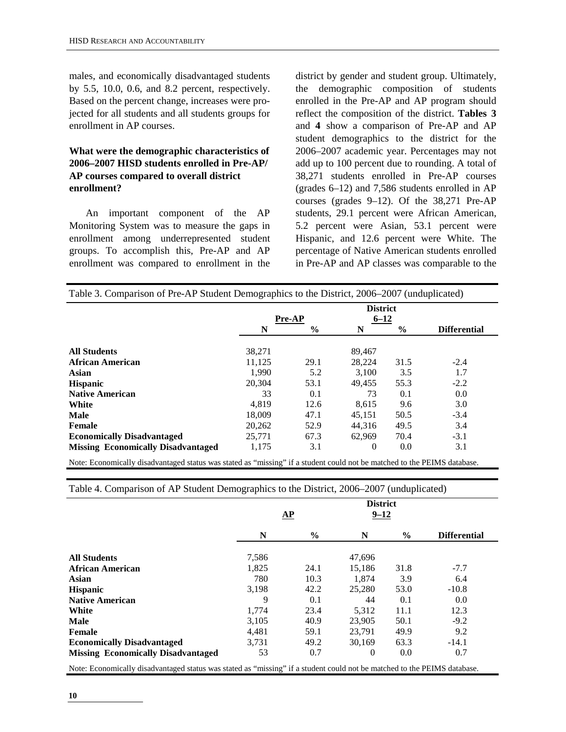males, and economically disadvantaged students by 5.5, 10.0, 0.6, and 8.2 percent, respectively. Based on the percent change, increases were projected for all students and all students groups for enrollment in AP courses.

#### **What were the demographic characteristics of 2006–2007 HISD students enrolled in Pre-AP/ AP courses compared to overall district enrollment?**

An important component of the AP Monitoring System was to measure the gaps in enrollment among underrepresented student groups. To accomplish this, Pre-AP and AP enrollment was compared to enrollment in the

district by gender and student group. Ultimately, the demographic composition of students enrolled in the Pre-AP and AP program should reflect the composition of the district. **Tables 3**  and **4** show a comparison of Pre-AP and AP student demographics to the district for the 2006–2007 academic year. Percentages may not add up to 100 percent due to rounding. A total of 38,271 students enrolled in Pre-AP courses (grades 6–12) and 7,586 students enrolled in AP courses (grades 9–12). Of the 38,271 Pre-AP students, 29.1 percent were African American, 5.2 percent were Asian, 53.1 percent were Hispanic, and 12.6 percent were White. The percentage of Native American students enrolled in Pre-AP and AP classes was comparable to the

|                                           |        |               | <b>District</b> |               |                     |
|-------------------------------------------|--------|---------------|-----------------|---------------|---------------------|
|                                           |        | <b>Pre-AP</b> | $6 - 12$        |               |                     |
|                                           | N      | $\frac{0}{0}$ | N               | $\frac{6}{9}$ | <b>Differential</b> |
| <b>All Students</b>                       | 38,271 |               | 89,467          |               |                     |
| <b>African American</b>                   | 11,125 | 29.1          | 28.224          | 31.5          | $-2.4$              |
| Asian                                     | 1.990  | 5.2           | 3.100           | 3.5           | 1.7                 |
| <b>Hispanic</b>                           | 20.304 | 53.1          | 49,455          | 55.3          | $-2.2$              |
| <b>Native American</b>                    | 33     | 0.1           | 73              | 0.1           | 0.0                 |
| White                                     | 4.819  | 12.6          | 8.615           | 9.6           | 3.0                 |
| <b>Male</b>                               | 18,009 | 47.1          | 45,151          | 50.5          | $-3.4$              |
| <b>Female</b>                             | 20,262 | 52.9          | 44.316          | 49.5          | 3.4                 |
| <b>Economically Disadvantaged</b>         | 25,771 | 67.3          | 62.969          | 70.4          | $-3.1$              |
| <b>Missing Economically Disadvantaged</b> | 1,175  | 3.1           | $\theta$        | 0.0           | 3.1                 |

Note: Economically disadvantaged status was stated as "missing" if a student could not be matched to the PEIMS database.

Table 4. Comparison of AP Student Demographics to the District, 2006–2007 (unduplicated)

|                                                                                                                          |       | $\mathbf{\underline{AP}}$ | <b>District</b><br>$9 - 12$ |      |                     |  |  |  |
|--------------------------------------------------------------------------------------------------------------------------|-------|---------------------------|-----------------------------|------|---------------------|--|--|--|
|                                                                                                                          | N     | $\frac{0}{0}$             | N                           | $\%$ | <b>Differential</b> |  |  |  |
| <b>All Students</b>                                                                                                      | 7,586 |                           | 47,696                      |      |                     |  |  |  |
| <b>African American</b>                                                                                                  | 1,825 | 24.1                      | 15,186                      | 31.8 | $-7.7$              |  |  |  |
| <b>Asian</b>                                                                                                             | 780   | 10.3                      | 1,874                       | 3.9  | 6.4                 |  |  |  |
| Hispanic                                                                                                                 | 3,198 | 42.2                      | 25,280                      | 53.0 | $-10.8$             |  |  |  |
| <b>Native American</b>                                                                                                   | 9     | 0.1                       | 44                          | 0.1  | 0.0                 |  |  |  |
| White                                                                                                                    | 1,774 | 23.4                      | 5,312                       | 11.1 | 12.3                |  |  |  |
| <b>Male</b>                                                                                                              | 3.105 | 40.9                      | 23,905                      | 50.1 | $-9.2$              |  |  |  |
| Female                                                                                                                   | 4,481 | 59.1                      | 23.791                      | 49.9 | 9.2                 |  |  |  |
| <b>Economically Disadvantaged</b>                                                                                        | 3,731 | 49.2                      | 30.169                      | 63.3 | $-14.1$             |  |  |  |
| <b>Missing Economically Disadvantaged</b>                                                                                | 53    | 0.7                       | $\theta$                    | 0.0  | 0.7                 |  |  |  |
| Note: Economically disadvantaged status was stated as "missing" if a student could not be matched to the PEIMS database. |       |                           |                             |      |                     |  |  |  |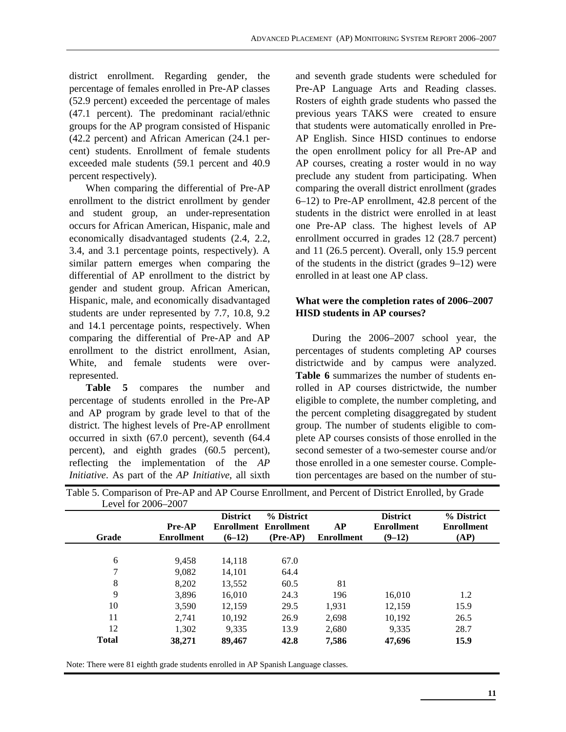district enrollment. Regarding gender, the percentage of females enrolled in Pre-AP classes (52.9 percent) exceeded the percentage of males (47.1 percent). The predominant racial/ethnic groups for the AP program consisted of Hispanic (42.2 percent) and African American (24.1 percent) students. Enrollment of female students exceeded male students (59.1 percent and 40.9 percent respectively).

When comparing the differential of Pre-AP enrollment to the district enrollment by gender and student group, an under-representation occurs for African American, Hispanic, male and economically disadvantaged students (2.4, 2.2, 3.4, and 3.1 percentage points, respectively). A similar pattern emerges when comparing the differential of AP enrollment to the district by gender and student group. African American, Hispanic, male, and economically disadvantaged students are under represented by 7.7, 10.8, 9.2 and 14.1 percentage points, respectively. When comparing the differential of Pre-AP and AP enrollment to the district enrollment, Asian, White, and female students were overrepresented.

**Table 5** compares the number and percentage of students enrolled in the Pre-AP and AP program by grade level to that of the district. The highest levels of Pre-AP enrollment occurred in sixth (67.0 percent), seventh (64.4 percent), and eighth grades (60.5 percent), reflecting the implementation of the *AP Initiative*. As part of the *AP Initiative*, all sixth

and seventh grade students were scheduled for Pre-AP Language Arts and Reading classes. Rosters of eighth grade students who passed the previous years TAKS were created to ensure that students were automatically enrolled in Pre-AP English. Since HISD continues to endorse the open enrollment policy for all Pre-AP and AP courses, creating a roster would in no way preclude any student from participating. When comparing the overall district enrollment (grades 6–12) to Pre-AP enrollment, 42.8 percent of the students in the district were enrolled in at least one Pre-AP class. The highest levels of AP enrollment occurred in grades 12 (28.7 percent) and 11 (26.5 percent). Overall, only 15.9 percent of the students in the district (grades 9–12) were enrolled in at least one AP class.

### **What were the completion rates of 2006–2007 HISD students in AP courses?**

During the 2006–2007 school year, the percentages of students completing AP courses districtwide and by campus were analyzed. **Table 6** summarizes the number of students enrolled in AP courses districtwide, the number eligible to complete, the number completing, and the percent completing disaggregated by student group. The number of students eligible to complete AP courses consists of those enrolled in the second semester of a two-semester course and/or those enrolled in a one semester course. Completion percentages are based on the number of stu-

|              |                   | <b>District</b> | % District        |                   | <b>District</b>   | % District        |
|--------------|-------------------|-----------------|-------------------|-------------------|-------------------|-------------------|
|              | <b>Pre-AP</b>     | Enrollment      | <b>Enrollment</b> | <b>AP</b>         | <b>Enrollment</b> | <b>Enrollment</b> |
| Grade        | <b>Enrollment</b> | $(6-12)$        | $(Pre-AP)$        | <b>Enrollment</b> | $(9-12)$          | (AP)              |
| 6            | 9,458             | 14,118          | 67.0              |                   |                   |                   |
| 7            | 9.082             | 14.101          | 64.4              |                   |                   |                   |
| 8            | 8.202             | 13,552          | 60.5              | 81                |                   |                   |
| 9            | 3.896             | 16,010          | 24.3              | 196               | 16,010            | 1.2               |
| 10           | 3.590             | 12,159          | 29.5              | 1,931             | 12,159            | 15.9              |
| 11           | 2.741             | 10,192          | 26.9              | 2.698             | 10,192            | 26.5              |
| 12           | 1,302             | 9.335           | 13.9              | 2,680             | 9.335             | 28.7              |
| <b>Total</b> | 38,271            | 89,467          | 42.8              | 7,586             | 47,696            | 15.9              |

Table 5. Comparison of Pre-AP and AP Course Enrollment, and Percent of District Enrolled, by Grade

Note: There were 81 eighth grade students enrolled in AP Spanish Language classes.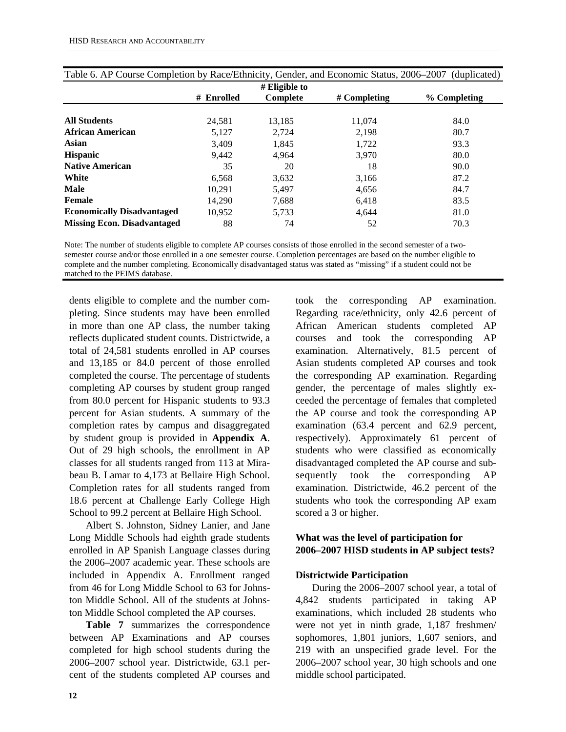|                                    |            | $#$ Eligible to |                |              |
|------------------------------------|------------|-----------------|----------------|--------------|
|                                    | # Enrolled | Complete        | $#$ Completing | % Completing |
|                                    |            |                 |                |              |
| <b>All Students</b>                | 24,581     | 13,185          | 11.074         | 84.0         |
| <b>African American</b>            | 5,127      | 2.724           | 2,198          | 80.7         |
| Asian                              | 3,409      | 1,845           | 1,722          | 93.3         |
| <b>Hispanic</b>                    | 9,442      | 4.964           | 3,970          | 80.0         |
| <b>Native American</b>             | 35         | 20              | 18             | 90.0         |
| White                              | 6,568      | 3,632           | 3,166          | 87.2         |
| <b>Male</b>                        | 10.291     | 5,497           | 4,656          | 84.7         |
| Female                             | 14.290     | 7,688           | 6.418          | 83.5         |
| <b>Economically Disadvantaged</b>  | 10.952     | 5.733           | 4.644          | 81.0         |
| <b>Missing Econ. Disadvantaged</b> | 88         | 74              | 52             | 70.3         |

|  |  |  |  | Table 6. AP Course Completion by Race/Ethnicity, Gender, and Economic Status, 2006–2007 (duplicated) |  |  |  |  |  |
|--|--|--|--|------------------------------------------------------------------------------------------------------|--|--|--|--|--|
|--|--|--|--|------------------------------------------------------------------------------------------------------|--|--|--|--|--|

Note: The number of students eligible to complete AP courses consists of those enrolled in the second semester of a twosemester course and/or those enrolled in a one semester course. Completion percentages are based on the number eligible to complete and the number completing. Economically disadvantaged status was stated as "missing" if a student could not be matched to the PEIMS database.

dents eligible to complete and the number completing. Since students may have been enrolled in more than one AP class, the number taking reflects duplicated student counts. Districtwide, a total of 24,581 students enrolled in AP courses and 13,185 or 84.0 percent of those enrolled completed the course. The percentage of students completing AP courses by student group ranged from 80.0 percent for Hispanic students to 93.3 percent for Asian students. A summary of the completion rates by campus and disaggregated by student group is provided in **Appendix A**. Out of 29 high schools, the enrollment in AP classes for all students ranged from 113 at Mirabeau B. Lamar to 4,173 at Bellaire High School. Completion rates for all students ranged from 18.6 percent at Challenge Early College High School to 99.2 percent at Bellaire High School.

Albert S. Johnston, Sidney Lanier, and Jane Long Middle Schools had eighth grade students enrolled in AP Spanish Language classes during the 2006–2007 academic year. These schools are included in Appendix A. Enrollment ranged from 46 for Long Middle School to 63 for Johnston Middle School. All of the students at Johnston Middle School completed the AP courses.

**Table 7** summarizes the correspondence between AP Examinations and AP courses completed for high school students during the 2006–2007 school year. Districtwide, 63.1 percent of the students completed AP courses and took the corresponding AP examination. Regarding race/ethnicity, only 42.6 percent of African American students completed AP courses and took the corresponding AP examination. Alternatively, 81.5 percent of Asian students completed AP courses and took the corresponding AP examination. Regarding gender, the percentage of males slightly exceeded the percentage of females that completed the AP course and took the corresponding AP examination (63.4 percent and 62.9 percent, respectively). Approximately 61 percent of students who were classified as economically disadvantaged completed the AP course and subsequently took the corresponding AP examination. Districtwide, 46.2 percent of the students who took the corresponding AP exam scored a 3 or higher.

#### **What was the level of participation for 2006–2007 HISD students in AP subject tests?**

#### **Districtwide Participation**

During the 2006–2007 school year, a total of 4,842 students participated in taking AP examinations, which included 28 students who were not yet in ninth grade, 1,187 freshmen/ sophomores, 1,801 juniors, 1,607 seniors, and 219 with an unspecified grade level. For the 2006–2007 school year, 30 high schools and one middle school participated.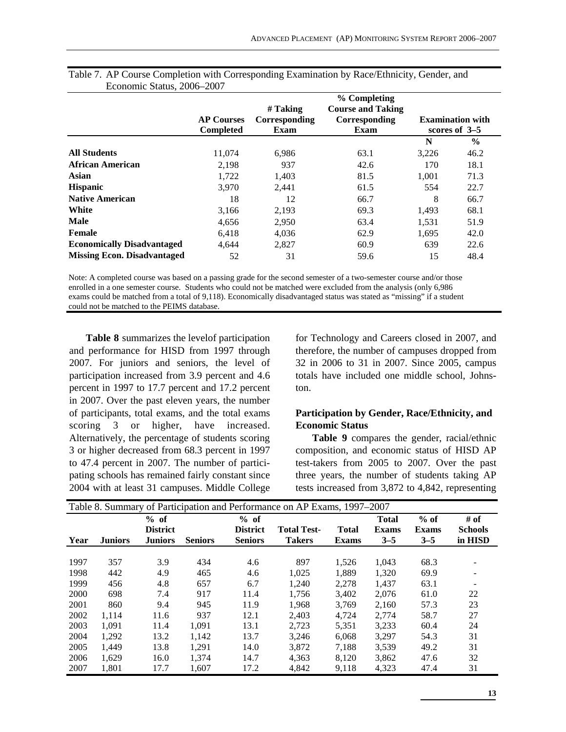|                                    |                                       |                                   | % Completing                                      |       |                                            |
|------------------------------------|---------------------------------------|-----------------------------------|---------------------------------------------------|-------|--------------------------------------------|
|                                    | <b>AP Courses</b><br><b>Completed</b> | # Taking<br>Corresponding<br>Exam | <b>Course and Taking</b><br>Corresponding<br>Exam |       | <b>Examination with</b><br>scores of $3-5$ |
|                                    |                                       |                                   |                                                   | N     | $\frac{6}{9}$                              |
| <b>All Students</b>                | 11.074                                | 6,986                             | 63.1                                              | 3,226 | 46.2                                       |
| <b>African American</b>            | 2,198                                 | 937                               | 42.6                                              | 170   | 18.1                                       |
| Asian                              | 1.722                                 | 1,403                             | 81.5                                              | 1.001 | 71.3                                       |
| <b>Hispanic</b>                    | 3,970                                 | 2,441                             | 61.5                                              | 554   | 22.7                                       |
| <b>Native American</b>             | 18                                    | 12                                | 66.7                                              | 8     | 66.7                                       |
| White                              | 3,166                                 | 2,193                             | 69.3                                              | 1,493 | 68.1                                       |
| <b>Male</b>                        | 4,656                                 | 2,950                             | 63.4                                              | 1,531 | 51.9                                       |
| Female                             | 6.418                                 | 4,036                             | 62.9                                              | 1,695 | 42.0                                       |
| <b>Economically Disadvantaged</b>  | 4,644                                 | 2,827                             | 60.9                                              | 639   | 22.6                                       |
| <b>Missing Econ. Disadvantaged</b> | 52                                    | 31                                | 59.6                                              | 15    | 48.4                                       |

| Table 7. AP Course Completion with Corresponding Examination by Race/Ethnicity, Gender, and |  |  |
|---------------------------------------------------------------------------------------------|--|--|
| Economic Status, 2006–2007                                                                  |  |  |

Note: A completed course was based on a passing grade for the second semester of a two-semester course and/or those enrolled in a one semester course. Students who could not be matched were excluded from the analysis (only 6,986 exams could be matched from a total of 9,118). Economically disadvantaged status was stated as "missing" if a student could not be matched to the PEIMS database.

**Table 8** summarizes the levelof participation and performance for HISD from 1997 through 2007. For juniors and seniors, the level of participation increased from 3.9 percent and 4.6 percent in 1997 to 17.7 percent and 17.2 percent in 2007. Over the past eleven years, the number of participants, total exams, and the total exams scoring 3 or higher, have increased. Alternatively, the percentage of students scoring 3 or higher decreased from 68.3 percent in 1997 to 47.4 percent in 2007. The number of participating schools has remained fairly constant since 2004 with at least 31 campuses. Middle College for Technology and Careers closed in 2007, and therefore, the number of campuses dropped from 32 in 2006 to 31 in 2007. Since 2005, campus totals have included one middle school, Johnston.

#### **Participation by Gender, Race/Ethnicity, and Economic Status**

**Table 9** compares the gender, racial/ethnic composition, and economic status of HISD AP test-takers from 2005 to 2007. Over the past three years, the number of students taking AP tests increased from 3,872 to 4,842, representing

| Table 8. Summary of Participation and Performance on AP Exams, 1997–2007 |                |                                             |                |                                           |                                     |                              |                                         |                                   |                                   |
|--------------------------------------------------------------------------|----------------|---------------------------------------------|----------------|-------------------------------------------|-------------------------------------|------------------------------|-----------------------------------------|-----------------------------------|-----------------------------------|
| Year                                                                     | <b>Juniors</b> | $%$ of<br><b>District</b><br><b>Juniors</b> | <b>Seniors</b> | % of<br><b>District</b><br><b>Seniors</b> | <b>Total Test-</b><br><b>Takers</b> | <b>Total</b><br><b>Exams</b> | <b>Total</b><br><b>Exams</b><br>$3 - 5$ | $%$ of<br><b>Exams</b><br>$3 - 5$ | # of<br><b>Schools</b><br>in HISD |
| 1997                                                                     | 357            | 3.9                                         | 434            | 4.6                                       | 897                                 | 1,526                        | 1,043                                   | 68.3                              |                                   |
| 1998                                                                     | 442            | 4.9                                         | 465            | 4.6                                       | 1.025                               | 1,889                        | 1,320                                   | 69.9                              |                                   |
| 1999                                                                     | 456            | 4.8                                         | 657            | 6.7                                       | 1,240                               | 2,278                        | 1,437                                   | 63.1                              |                                   |
| 2000                                                                     | 698            | 7.4                                         | 917            | 11.4                                      | 1.756                               | 3.402                        | 2.076                                   | 61.0                              | 22                                |
| 2001                                                                     | 860            | 9.4                                         | 945            | 11.9                                      | 1,968                               | 3,769                        | 2,160                                   | 57.3                              | 23                                |
| 2002                                                                     | 1.114          | 11.6                                        | 937            | 12.1                                      | 2,403                               | 4,724                        | 2,774                                   | 58.7                              | 27                                |
| 2003                                                                     | 1.091          | 11.4                                        | 1,091          | 13.1                                      | 2,723                               | 5,351                        | 3,233                                   | 60.4                              | 24                                |
| 2004                                                                     | 1,292          | 13.2                                        | 1.142          | 13.7                                      | 3.246                               | 6.068                        | 3,297                                   | 54.3                              | 31                                |
| 2005                                                                     | 1.449          | 13.8                                        | 1,291          | 14.0                                      | 3,872                               | 7,188                        | 3,539                                   | 49.2                              | 31                                |
| 2006                                                                     | 1,629          | 16.0                                        | 1,374          | 14.7                                      | 4,363                               | 8,120                        | 3,862                                   | 47.6                              | 32                                |
| 2007                                                                     | 1,801          | 17.7                                        | 1.607          | 17.2                                      | 4,842                               | 9,118                        | 4,323                                   | 47.4                              | 31                                |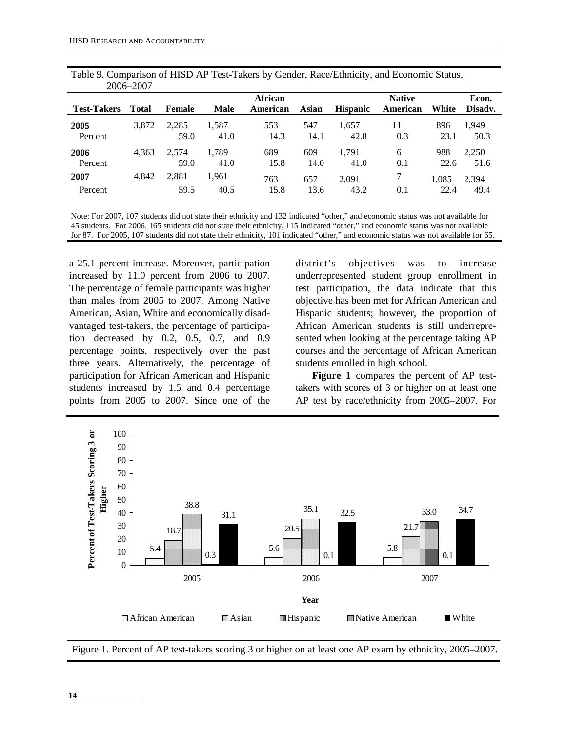|                    | 2006–2007    |               |               |                            |             |                 |                           |               |                  |
|--------------------|--------------|---------------|---------------|----------------------------|-------------|-----------------|---------------------------|---------------|------------------|
| <b>Test-Takers</b> | <b>Total</b> | Female        | <b>Male</b>   | <b>African</b><br>American | Asian       | <b>Hispanic</b> | <b>Native</b><br>American | White         | Econ.<br>Disadv. |
| 2005<br>Percent    | 3,872        | 2,285<br>59.0 | 1,587<br>41.0 | 553<br>14.3                | 547<br>14.1 | 1.657<br>42.8   | 11<br>0.3                 | 896<br>23.1   | 1.949<br>50.3    |
| 2006<br>Percent    | 4.363        | 2.574<br>59.0 | 1.789<br>41.0 | 689<br>15.8                | 609<br>14.0 | 1.791<br>41.0   | 6<br>0.1                  | 988<br>22.6   | 2,250<br>51.6    |
| 2007<br>Percent    | 4.842        | 2,881<br>59.5 | 1,961<br>40.5 | 763<br>15.8                | 657<br>13.6 | 2.091<br>43.2   | 0.1                       | 1,085<br>22.4 | 2,394<br>49.4    |

Table 9. Comparison of HISD AP Test-Takers by Gender, Race/Ethnicity, and Economic Status,

Note: For 2007, 107 students did not state their ethnicity and 132 indicated "other," and economic status was not available for 45 students. For 2006, 165 students did not state their ethnicity, 115 indicated "other," and economic status was not available for 87. For 2005, 107 students did not state their ethnicity, 101 indicated "other," and economic status was not available for 65.

a 25.1 percent increase. Moreover, participation increased by 11.0 percent from 2006 to 2007. The percentage of female participants was higher than males from 2005 to 2007. Among Native American, Asian, White and economically disadvantaged test-takers, the percentage of participation decreased by 0.2, 0.5, 0.7, and 0.9 percentage points, respectively over the past three years. Alternatively, the percentage of participation for African American and Hispanic students increased by 1.5 and 0.4 percentage points from 2005 to 2007. Since one of the

district's objectives was to increase underrepresented student group enrollment in test participation, the data indicate that this objective has been met for African American and Hispanic students; however, the proportion of African American students is still underrepresented when looking at the percentage taking AP courses and the percentage of African American students enrolled in high school.

**Figure 1** compares the percent of AP testtakers with scores of 3 or higher on at least one AP test by race/ethnicity from 2005–2007. For



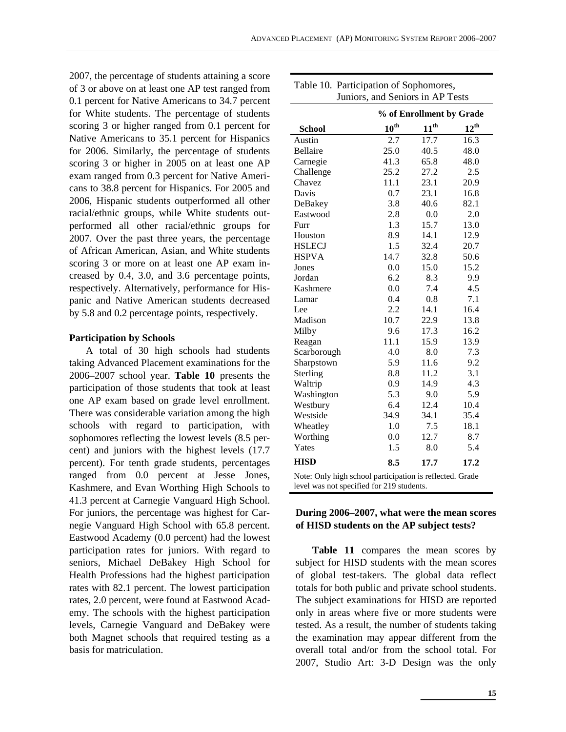2007, the percentage of students attaining a score of 3 or above on at least one AP test ranged from 0.1 percent for Native Americans to 34.7 percent for White students. The percentage of students scoring 3 or higher ranged from 0.1 percent for Native Americans to 35.1 percent for Hispanics for 2006. Similarly, the percentage of students scoring 3 or higher in 2005 on at least one AP exam ranged from 0.3 percent for Native Americans to 38.8 percent for Hispanics. For 2005 and 2006, Hispanic students outperformed all other racial/ethnic groups, while White students outperformed all other racial/ethnic groups for 2007. Over the past three years, the percentage of African American, Asian, and White students scoring 3 or more on at least one AP exam increased by 0.4, 3.0, and 3.6 percentage points, respectively. Alternatively, performance for Hispanic and Native American students decreased by 5.8 and 0.2 percentage points, respectively.

#### **Participation by Schools**

A total of 30 high schools had students taking Advanced Placement examinations for the 2006–2007 school year. **Table 10** presents the participation of those students that took at least one AP exam based on grade level enrollment. There was considerable variation among the high schools with regard to participation, with sophomores reflecting the lowest levels (8.5 percent) and juniors with the highest levels (17.7 percent). For tenth grade students, percentages ranged from 0.0 percent at Jesse Jones, Kashmere, and Evan Worthing High Schools to 41.3 percent at Carnegie Vanguard High School. For juniors, the percentage was highest for Carnegie Vanguard High School with 65.8 percent. Eastwood Academy (0.0 percent) had the lowest participation rates for juniors. With regard to seniors, Michael DeBakey High School for Health Professions had the highest participation rates with 82.1 percent. The lowest participation rates, 2.0 percent, were found at Eastwood Academy. The schools with the highest participation levels, Carnegie Vanguard and DeBakey were both Magnet schools that required testing as a basis for matriculation.

| $\sigma$ and $\sigma$ and $\sigma$ and $\sigma$ and $\sigma$<br>エレいい                                  |                  |                          |                  |  |  |  |
|-------------------------------------------------------------------------------------------------------|------------------|--------------------------|------------------|--|--|--|
|                                                                                                       |                  | % of Enrollment by Grade |                  |  |  |  |
| <b>School</b>                                                                                         | $10^{\text{th}}$ | $11^{\text{th}}$         | $12^{\text{th}}$ |  |  |  |
| Austin                                                                                                | 2.7              | 17.7                     | 16.3             |  |  |  |
| Bellaire                                                                                              | 25.0             | 40.5                     | 48.0             |  |  |  |
| Carnegie                                                                                              | 41.3             | 65.8                     | 48.0             |  |  |  |
| Challenge                                                                                             | 25.2             | 27.2                     | 2.5              |  |  |  |
| Chavez                                                                                                | 11.1             | 23.1                     | 20.9             |  |  |  |
| Davis                                                                                                 | 0.7              | 23.1                     | 16.8             |  |  |  |
| DeBakey                                                                                               | 3.8              | 40.6                     | 82.1             |  |  |  |
| Eastwood                                                                                              | 2.8              | 0.0                      | 2.0              |  |  |  |
| Furr                                                                                                  | 1.3              | 15.7                     | 13.0             |  |  |  |
| Houston                                                                                               | 8.9              | 14.1                     | 12.9             |  |  |  |
| <b>HSLECJ</b>                                                                                         | 1.5              | 32.4                     | 20.7             |  |  |  |
| <b>HSPVA</b>                                                                                          | 14.7             | 32.8                     | 50.6             |  |  |  |
| Jones                                                                                                 | 0.0              | 15.0                     | 15.2             |  |  |  |
| Jordan                                                                                                | 6.2              | 8.3                      | 9.9              |  |  |  |
| Kashmere                                                                                              | 0.0              | 7.4                      | 4.5              |  |  |  |
| Lamar                                                                                                 | 0.4              | 0.8                      | 7.1              |  |  |  |
| Lee                                                                                                   | 2.2              | 14.1                     | 16.4             |  |  |  |
| Madison                                                                                               | 10.7             | 22.9                     | 13.8             |  |  |  |
| Milby                                                                                                 | 9.6              | 17.3                     | 16.2             |  |  |  |
| Reagan                                                                                                | 11.1             | 15.9                     | 13.9             |  |  |  |
| Scarborough                                                                                           | 4.0              | 8.0                      | 7.3              |  |  |  |
| Sharpstown                                                                                            | 5.9              | 11.6                     | 9.2              |  |  |  |
| Sterling                                                                                              | 8.8              | 11.2                     | 3.1              |  |  |  |
| Waltrip                                                                                               | 0.9              | 14.9                     | 4.3              |  |  |  |
| Washington                                                                                            | 5.3              | 9.0                      | 5.9              |  |  |  |
| Westbury                                                                                              | 6.4              | 12.4                     | 10.4             |  |  |  |
| Westside                                                                                              | 34.9             | 34.1                     | 35.4             |  |  |  |
| Wheatley                                                                                              | 1.0              | 7.5                      | 18.1             |  |  |  |
| Worthing                                                                                              | 0.0              | 12.7                     | 8.7              |  |  |  |
| Yates                                                                                                 | 1.5              | 8.0                      | 5.4              |  |  |  |
| <b>HISD</b>                                                                                           | 8.5              | 17.7                     | 17.2             |  |  |  |
| Note: Only high school participation is reflected. Grade<br>level was not specified for 219 students. |                  |                          |                  |  |  |  |

#### Table 10. Participation of Sophomores, Juniors, and Seniors in AP Tests

#### **During 2006–2007, what were the mean scores of HISD students on the AP subject tests?**

**Table 11** compares the mean scores by subject for HISD students with the mean scores of global test-takers. The global data reflect totals for both public and private school students. The subject examinations for HISD are reported only in areas where five or more students were tested. As a result, the number of students taking the examination may appear different from the overall total and/or from the school total. For 2007, Studio Art: 3-D Design was the only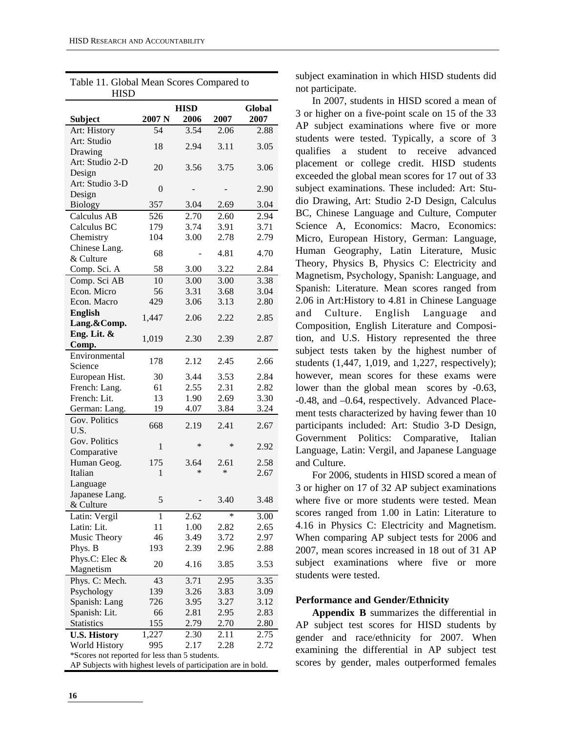Table 11. Global Mean Scores Compared to

| <b>HISD</b>                                                                                                     |                   |      |        |               |
|-----------------------------------------------------------------------------------------------------------------|-------------------|------|--------|---------------|
|                                                                                                                 |                   | HISD |        | <b>Global</b> |
| <b>Subject</b>                                                                                                  | 2007 <sub>N</sub> | 2006 | 2007   | 2007          |
| Art: History                                                                                                    | 54                | 3.54 | 2.06   | 2.88          |
| Art: Studio                                                                                                     | 18                |      |        |               |
| Drawing                                                                                                         |                   | 2.94 | 3.11   | 3.05          |
| Art: Studio 2-D                                                                                                 | 20                | 3.56 | 3.75   | 3.06          |
| Design                                                                                                          |                   |      |        |               |
| Art: Studio 3-D                                                                                                 | $\overline{0}$    |      |        | 2.90          |
| Design                                                                                                          |                   |      |        |               |
| <b>Biology</b>                                                                                                  | 357               | 3.04 | 2.69   | 3.04          |
| Calculus AB                                                                                                     | 526               | 2.70 | 2.60   | 2.94          |
| Calculus BC                                                                                                     | 179               | 3.74 | 3.91   | 3.71          |
| Chemistry                                                                                                       | 104               | 3.00 | 2.78   | 2.79          |
| Chinese Lang.                                                                                                   | 68                |      | 4.81   | 4.70          |
| & Culture                                                                                                       |                   |      |        |               |
| Comp. Sci. A                                                                                                    | 58                | 3.00 | 3.22   | 2.84          |
| Comp. Sci AB                                                                                                    | 10                | 3.00 | 3.00   | 3.38          |
| Econ. Micro                                                                                                     | 56                | 3.31 | 3.68   | 3.04          |
| Econ. Macro                                                                                                     | 429               | 3.06 | 3.13   | 2.80          |
| <b>English</b>                                                                                                  | 1,447             | 2.06 | 2.22   | 2.85          |
| Lang.&Comp.                                                                                                     |                   |      |        |               |
| Eng. Lit. &                                                                                                     | 1,019             | 2.30 | 2.39   | 2.87          |
| Comp.                                                                                                           |                   |      |        |               |
| Environmental<br>Science                                                                                        | 178               | 2.12 | 2.45   | 2.66          |
| European Hist.                                                                                                  | 30                | 3.44 | 3.53   | 2.84          |
| French: Lang.                                                                                                   | 61                | 2.55 | 2.31   | 2.82          |
| French: Lit.                                                                                                    | 13                | 1.90 | 2.69   | 3.30          |
| German: Lang.                                                                                                   | 19                | 4.07 | 3.84   | 3.24          |
| Gov. Politics                                                                                                   |                   |      |        |               |
| U.S.                                                                                                            | 668               | 2.19 | 2.41   | 2.67          |
| Gov. Politics                                                                                                   |                   |      |        |               |
| Comparative                                                                                                     | $\mathbf{1}$      | *    | *      | 2.92          |
| Human Geog.                                                                                                     | 175               | 3.64 | 2.61   | 2.58          |
| Italian                                                                                                         | $\mathbf{1}$      | *    | $\ast$ | 2.67          |
| Language                                                                                                        |                   |      |        |               |
| Japanese Lang.                                                                                                  |                   |      |        |               |
| & Culture                                                                                                       | 5                 |      | 3.40   | 3.48          |
| Latin: Vergil                                                                                                   | 1                 | 2.62 | *      | 3.00          |
| Latin: Lit.                                                                                                     | 11                | 1.00 | 2.82   | 2.65          |
| Music Theory                                                                                                    | 46                | 3.49 | 3.72   | 2.97          |
| Phys. B                                                                                                         | 193               | 2.39 | 2.96   | 2.88          |
| Phys.C: Elec &                                                                                                  | 20                | 4.16 | 3.85   | 3.53          |
| Magnetism                                                                                                       |                   |      |        |               |
| Phys. C: Mech.                                                                                                  | 43                | 3.71 | 2.95   | 3.35          |
| Psychology                                                                                                      | 139               | 3.26 | 3.83   | 3.09          |
| Spanish: Lang                                                                                                   | 726               | 3.95 | 3.27   | 3.12          |
| Spanish: Lit.                                                                                                   | 66                | 2.81 | 2.95   | 2.83          |
| <b>Statistics</b>                                                                                               | 155               | 2.79 | 2.70   | 2.80          |
| <b>U.S. History</b>                                                                                             | 1,227             | 2.30 | 2.11   | 2.75          |
| World History                                                                                                   | 995               | 2.17 | 2.28   | 2.72          |
| *Scores not reported for less than 5 students.<br>AP Subjects with highest levels of participation are in bold. |                   |      |        |               |
|                                                                                                                 |                   |      |        |               |

subject examination in which HISD students did not participate.

In 2007, students in HISD scored a mean of 3 or higher on a five-point scale on 15 of the 33 AP subject examinations where five or more students were tested. Typically, a score of 3 qualifies a student to receive advanced placement or college credit. HISD students exceeded the global mean scores for 17 out of 33 subject examinations. These included: Art: Studio Drawing, Art: Studio 2-D Design, Calculus BC, Chinese Language and Culture, Computer Science A, Economics: Macro, Economics: Micro, European History, German: Language, Human Geography, Latin Literature, Music Theory, Physics B, Physics C: Electricity and Magnetism, Psychology, Spanish: Language, and Spanish: Literature. Mean scores ranged from 2.06 in Art:History to 4.81 in Chinese Language and Culture. English Language and Composition, English Literature and Composition, and U.S. History represented the three subject tests taken by the highest number of students (1,447, 1,019, and 1,227, respectively); however, mean scores for these exams were lower than the global mean scores by -0.63, -0.48, and –0.64, respectively. Advanced Placement tests characterized by having fewer than 10 participants included: Art: Studio 3-D Design, Government Politics: Comparative, Italian Language, Latin: Vergil, and Japanese Language and Culture.

For 2006, students in HISD scored a mean of 3 or higher on 17 of 32 AP subject examinations where five or more students were tested. Mean scores ranged from 1.00 in Latin: Literature to 4.16 in Physics C: Electricity and Magnetism. When comparing AP subject tests for 2006 and 2007, mean scores increased in 18 out of 31 AP subject examinations where five or more students were tested.

#### **Performance and Gender/Ethnicity**

**Appendix B** summarizes the differential in AP subject test scores for HISD students by gender and race/ethnicity for 2007. When examining the differential in AP subject test scores by gender, males outperformed females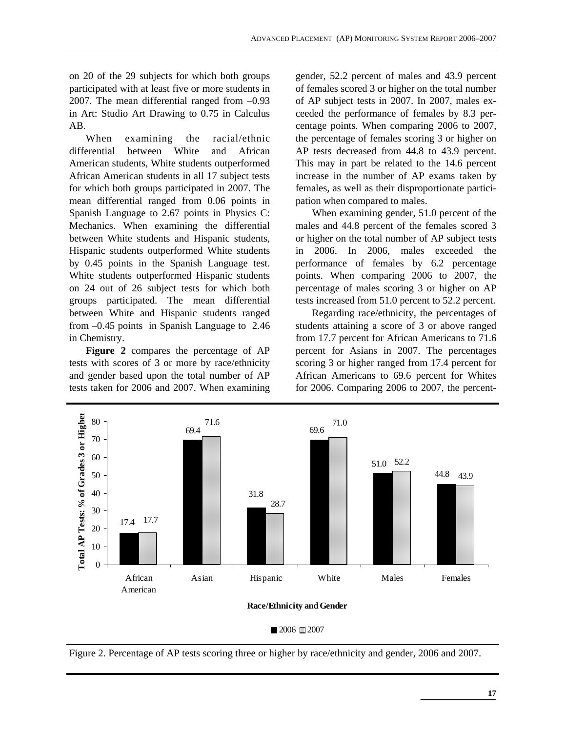on 20 of the 29 subjects for which both groups participated with at least five or more students in 2007. The mean differential ranged from –0.93 in Art: Studio Art Drawing to 0.75 in Calculus AB.

When examining the racial/ethnic differential between White and African American students, White students outperformed African American students in all 17 subject tests for which both groups participated in 2007. The mean differential ranged from 0.06 points in Spanish Language to 2.67 points in Physics C: Mechanics. When examining the differential between White students and Hispanic students, Hispanic students outperformed White students by 0.45 points in the Spanish Language test. White students outperformed Hispanic students on 24 out of 26 subject tests for which both groups participated. The mean differential between White and Hispanic students ranged from –0.45 points in Spanish Language to 2.46 in Chemistry.

**Figure 2** compares the percentage of AP tests with scores of 3 or more by race/ethnicity and gender based upon the total number of AP tests taken for 2006 and 2007. When examining gender, 52.2 percent of males and 43.9 percent of females scored 3 or higher on the total number of AP subject tests in 2007. In 2007, males exceeded the performance of females by 8.3 percentage points. When comparing 2006 to 2007, the percentage of females scoring 3 or higher on AP tests decreased from 44.8 to 43.9 percent. This may in part be related to the 14.6 percent increase in the number of AP exams taken by females, as well as their disproportionate participation when compared to males.

When examining gender, 51.0 percent of the males and 44.8 percent of the females scored 3 or higher on the total number of AP subject tests in 2006. In 2006, males exceeded the performance of females by 6.2 percentage points. When comparing 2006 to 2007, the percentage of males scoring 3 or higher on AP tests increased from 51.0 percent to 52.2 percent.

Regarding race/ethnicity, the percentages of students attaining a score of 3 or above ranged from 17.7 percent for African Americans to 71.6 percent for Asians in 2007. The percentages scoring 3 or higher ranged from 17.4 percent for African Americans to 69.6 percent for Whites for 2006. Comparing 2006 to 2007, the percent-



 $2006 \equiv 2007$ 

Figure 2. Percentage of AP tests scoring three or higher by race/ethnicity and gender, 2006 and 2007.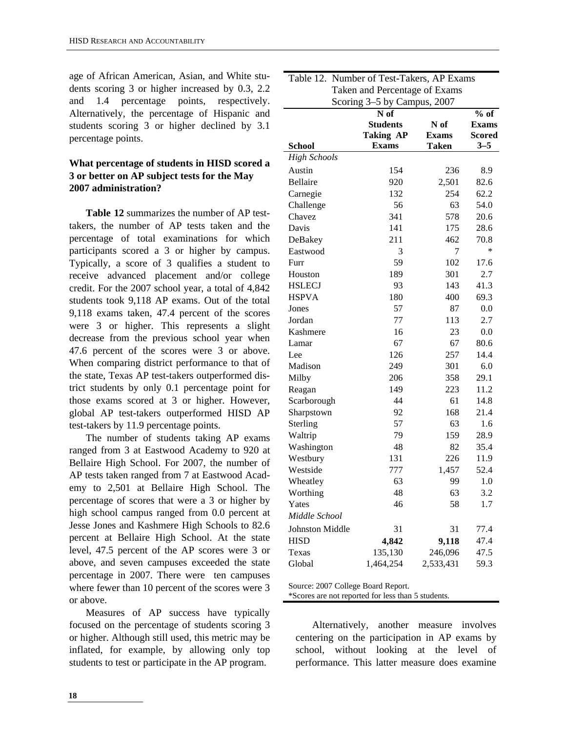age of African American, Asian, and White students scoring 3 or higher increased by 0.3, 2.2 and 1.4 percentage points, respectively. Alternatively, the percentage of Hispanic and students scoring 3 or higher declined by 3.1 percentage points.

#### **What percentage of students in HISD scored a 3 or better on AP subject tests for the May 2007 administration?**

**Table 12** summarizes the number of AP testtakers, the number of AP tests taken and the percentage of total examinations for which participants scored a 3 or higher by campus. Typically, a score of 3 qualifies a student to receive advanced placement and/or college credit. For the 2007 school year, a total of 4,842 students took 9,118 AP exams. Out of the total 9,118 exams taken, 47.4 percent of the scores were 3 or higher. This represents a slight decrease from the previous school year when 47.6 percent of the scores were 3 or above. When comparing district performance to that of the state, Texas AP test-takers outperformed district students by only 0.1 percentage point for those exams scored at 3 or higher. However, global AP test-takers outperformed HISD AP test-takers by 11.9 percentage points.

The number of students taking AP exams ranged from 3 at Eastwood Academy to 920 at Bellaire High School. For 2007, the number of AP tests taken ranged from 7 at Eastwood Academy to 2,501 at Bellaire High School. The percentage of scores that were a 3 or higher by high school campus ranged from 0.0 percent at Jesse Jones and Kashmere High Schools to 82.6 percent at Bellaire High School. At the state level, 47.5 percent of the AP scores were 3 or above, and seven campuses exceeded the state percentage in 2007. There were ten campuses where fewer than 10 percent of the scores were 3 or above.

Measures of AP success have typically focused on the percentage of students scoring 3 or higher. Although still used, this metric may be inflated, for example, by allowing only top students to test or participate in the AP program.

| Table 12. Number of Test-Takers, AP Exams |                             |              |               |  |  |  |
|-------------------------------------------|-----------------------------|--------------|---------------|--|--|--|
| Taken and Percentage of Exams             |                             |              |               |  |  |  |
|                                           | Scoring 3–5 by Campus, 2007 |              |               |  |  |  |
|                                           | N of                        |              | $%$ of        |  |  |  |
|                                           | <b>Students</b>             | N of         | <b>Exams</b>  |  |  |  |
|                                           | <b>Taking AP</b>            | <b>Exams</b> | <b>Scored</b> |  |  |  |
| <b>School</b>                             | <b>Exams</b>                | Taken        | $3 - 5$       |  |  |  |
| <b>High Schools</b>                       |                             |              |               |  |  |  |
| Austin                                    | 154                         | 236          | 8.9           |  |  |  |
| Bellaire                                  | 920                         | 2,501        | 82.6          |  |  |  |
| Carnegie                                  | 132                         | 254          | 62.2          |  |  |  |
| Challenge                                 | 56                          | 63           | 54.0          |  |  |  |
| Chavez                                    | 341                         | 578          | 20.6          |  |  |  |
| Davis                                     | 141                         | 175          | 28.6          |  |  |  |
| DeBakey                                   | 211                         | 462          | 70.8          |  |  |  |
| Eastwood                                  | 3                           | 7            | $\ast$        |  |  |  |
| Furr                                      | 59                          | 102          | 17.6          |  |  |  |
| Houston                                   | 189                         | 301          | 2.7           |  |  |  |
| <b>HSLECJ</b>                             | 93                          | 143          | 41.3          |  |  |  |
| <b>HSPVA</b>                              | 180                         | 400          | 69.3          |  |  |  |
| Jones                                     | 57                          | 87           | 0.0           |  |  |  |
| Jordan                                    | 77                          | 113          | 2.7           |  |  |  |
| Kashmere                                  | 16                          | 23           | 0.0           |  |  |  |
| Lamar                                     | 67                          | 67           | 80.6          |  |  |  |
| Lee                                       | 126                         | 257          | 14.4          |  |  |  |
| Madison                                   | 249                         | 301          | 6.0           |  |  |  |
| Milby                                     | 206                         | 358          | 29.1          |  |  |  |
| Reagan                                    | 149                         | 223          | 11.2          |  |  |  |
| Scarborough                               | 44                          | 61           | 14.8          |  |  |  |
| Sharpstown                                | 92                          | 168          | 21.4          |  |  |  |
| Sterling                                  | 57                          | 63           | 1.6           |  |  |  |
| Waltrip                                   | 79                          | 159          | 28.9          |  |  |  |
| Washington                                | 48                          | 82           | 35.4          |  |  |  |
| Westbury                                  | 131                         | 226          | 11.9          |  |  |  |
| Westside                                  | 777                         | 1,457        | 52.4          |  |  |  |
| Wheatley                                  | 63                          | 99           | 1.0           |  |  |  |
| Worthing                                  | 48                          | 63           | 3.2           |  |  |  |
| Yates                                     | 46                          | 58           | 1.7           |  |  |  |
| Middle School                             |                             |              |               |  |  |  |
| <b>Johnston Middle</b>                    | 31                          | 31           | 77.4          |  |  |  |
| <b>HISD</b>                               | 4,842                       | 9,118        | 47.4          |  |  |  |
| Texas                                     | 135,130                     | 246,096      | 47.5          |  |  |  |
| Global                                    | 1,464,254                   | 2,533,431    | 59.3          |  |  |  |
|                                           |                             |              |               |  |  |  |

Source: 2007 College Board Report.

\*Scores are not reported for less than 5 students.

Alternatively, another measure involves centering on the participation in AP exams by school, without looking at the level of performance. This latter measure does examine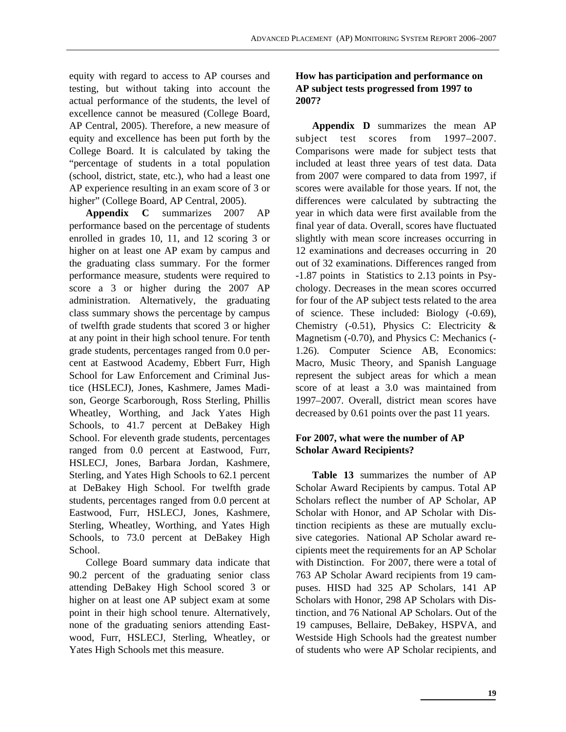equity with regard to access to AP courses and testing, but without taking into account the actual performance of the students, the level of excellence cannot be measured (College Board, AP Central, 2005). Therefore, a new measure of equity and excellence has been put forth by the College Board. It is calculated by taking the "percentage of students in a total population (school, district, state, etc.), who had a least one AP experience resulting in an exam score of 3 or higher" (College Board, AP Central, 2005).

**Appendix C** summarizes 2007 AP performance based on the percentage of students enrolled in grades 10, 11, and 12 scoring 3 or higher on at least one AP exam by campus and the graduating class summary. For the former performance measure, students were required to score a 3 or higher during the 2007 AP administration. Alternatively, the graduating class summary shows the percentage by campus of twelfth grade students that scored 3 or higher at any point in their high school tenure. For tenth grade students, percentages ranged from 0.0 percent at Eastwood Academy, Ebbert Furr, High School for Law Enforcement and Criminal Justice (HSLECJ), Jones, Kashmere, James Madison, George Scarborough, Ross Sterling, Phillis Wheatley, Worthing, and Jack Yates High Schools, to 41.7 percent at DeBakey High School. For eleventh grade students, percentages ranged from 0.0 percent at Eastwood, Furr, HSLECJ, Jones, Barbara Jordan, Kashmere, Sterling, and Yates High Schools to 62.1 percent at DeBakey High School. For twelfth grade students, percentages ranged from 0.0 percent at Eastwood, Furr, HSLECJ, Jones, Kashmere, Sterling, Wheatley, Worthing, and Yates High Schools, to 73.0 percent at DeBakey High School.

College Board summary data indicate that 90.2 percent of the graduating senior class attending DeBakey High School scored 3 or higher on at least one AP subject exam at some point in their high school tenure. Alternatively, none of the graduating seniors attending Eastwood, Furr, HSLECJ, Sterling, Wheatley, or Yates High Schools met this measure.

#### **How has participation and performance on AP subject tests progressed from 1997 to 2007?**

**Appendix D** summarizes the mean AP subject test scores from 1997–2007. Comparisons were made for subject tests that included at least three years of test data. Data from 2007 were compared to data from 1997, if scores were available for those years. If not, the differences were calculated by subtracting the year in which data were first available from the final year of data. Overall, scores have fluctuated slightly with mean score increases occurring in 12 examinations and decreases occurring in 20 out of 32 examinations. Differences ranged from -1.87 points in Statistics to 2.13 points in Psychology. Decreases in the mean scores occurred for four of the AP subject tests related to the area of science. These included: Biology (-0.69), Chemistry (-0.51), Physics C: Electricity & Magnetism (-0.70), and Physics C: Mechanics (- 1.26). Computer Science AB, Economics: Macro, Music Theory, and Spanish Language represent the subject areas for which a mean score of at least a 3.0 was maintained from 1997–2007. Overall, district mean scores have decreased by 0.61 points over the past 11 years.

#### **For 2007, what were the number of AP Scholar Award Recipients?**

**Table 13** summarizes the number of AP Scholar Award Recipients by campus. Total AP Scholars reflect the number of AP Scholar, AP Scholar with Honor, and AP Scholar with Distinction recipients as these are mutually exclusive categories. National AP Scholar award recipients meet the requirements for an AP Scholar with Distinction. For 2007, there were a total of 763 AP Scholar Award recipients from 19 campuses. HISD had 325 AP Scholars, 141 AP Scholars with Honor, 298 AP Scholars with Distinction, and 76 National AP Scholars. Out of the 19 campuses, Bellaire, DeBakey, HSPVA, and Westside High Schools had the greatest number of students who were AP Scholar recipients, and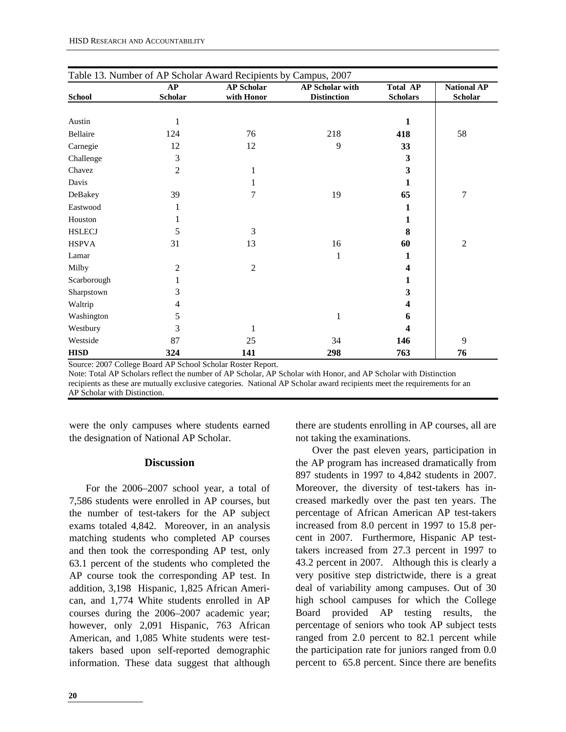|               | Table 13. Number of AP Scholar Award Recipients by Campus, 2007 |                                 |                                              |                                    |                                      |  |  |
|---------------|-----------------------------------------------------------------|---------------------------------|----------------------------------------------|------------------------------------|--------------------------------------|--|--|
| <b>School</b> | AP<br><b>Scholar</b>                                            | <b>AP Scholar</b><br>with Honor | <b>AP Scholar with</b><br><b>Distinction</b> | <b>Total AP</b><br><b>Scholars</b> | <b>National AP</b><br><b>Scholar</b> |  |  |
|               |                                                                 |                                 |                                              |                                    |                                      |  |  |
| Austin        | $\mathbf{1}$                                                    |                                 |                                              | 1                                  |                                      |  |  |
| Bellaire      | 124                                                             | 76                              | 218                                          | 418                                | 58                                   |  |  |
| Carnegie      | 12                                                              | 12                              | 9                                            | 33                                 |                                      |  |  |
| Challenge     | 3                                                               |                                 |                                              | 3                                  |                                      |  |  |
| Chavez        | 2                                                               | 1                               |                                              | 3                                  |                                      |  |  |
| Davis         |                                                                 | 1                               |                                              | 1                                  |                                      |  |  |
| DeBakey       | 39                                                              | 7                               | 19                                           | 65                                 | $\overline{7}$                       |  |  |
| Eastwood      | 1                                                               |                                 |                                              | 1                                  |                                      |  |  |
| Houston       |                                                                 |                                 |                                              | 1                                  |                                      |  |  |
| <b>HSLECJ</b> | 5                                                               | 3                               |                                              | 8                                  |                                      |  |  |
| <b>HSPVA</b>  | 31                                                              | 13                              | 16                                           | 60                                 | $\overline{c}$                       |  |  |
| Lamar         |                                                                 |                                 | 1                                            | 1                                  |                                      |  |  |
| Milby         | 2                                                               | $\boldsymbol{2}$                |                                              | 4                                  |                                      |  |  |
| Scarborough   |                                                                 |                                 |                                              | 1                                  |                                      |  |  |
| Sharpstown    | 3                                                               |                                 |                                              | 3                                  |                                      |  |  |
| Waltrip       | 4                                                               |                                 |                                              | 4                                  |                                      |  |  |
| Washington    | 5                                                               |                                 | 1                                            | 6                                  |                                      |  |  |
| Westbury      | 3                                                               | 1                               |                                              | 4                                  |                                      |  |  |
| Westside      | 87                                                              | 25                              | 34                                           | 146                                | 9                                    |  |  |
| <b>HISD</b>   | 324                                                             | 141                             | 298                                          | 763                                | 76                                   |  |  |

Source: 2007 College Board AP School Scholar Roster Report.

Note: Total AP Scholars reflect the number of AP Scholar, AP Scholar with Honor, and AP Scholar with Distinction recipients as these are mutually exclusive categories. National AP Scholar award recipients meet the requirements for an AP Scholar with Distinction.

were the only campuses where students earned the designation of National AP Scholar.

#### **Discussion**

For the 2006–2007 school year, a total of 7,586 students were enrolled in AP courses, but the number of test-takers for the AP subject exams totaled 4,842. Moreover, in an analysis matching students who completed AP courses and then took the corresponding AP test, only 63.1 percent of the students who completed the AP course took the corresponding AP test. In addition, 3,198 Hispanic, 1,825 African American, and 1,774 White students enrolled in AP courses during the 2006–2007 academic year; however, only 2,091 Hispanic, 763 African American, and 1,085 White students were testtakers based upon self-reported demographic information. These data suggest that although there are students enrolling in AP courses, all are not taking the examinations.

Over the past eleven years, participation in the AP program has increased dramatically from 897 students in 1997 to 4,842 students in 2007. Moreover, the diversity of test-takers has increased markedly over the past ten years. The percentage of African American AP test-takers increased from 8.0 percent in 1997 to 15.8 percent in 2007. Furthermore, Hispanic AP testtakers increased from 27.3 percent in 1997 to 43.2 percent in 2007. Although this is clearly a very positive step districtwide, there is a great deal of variability among campuses. Out of 30 high school campuses for which the College Board provided AP testing results, the percentage of seniors who took AP subject tests ranged from 2.0 percent to 82.1 percent while the participation rate for juniors ranged from 0.0 percent to 65.8 percent. Since there are benefits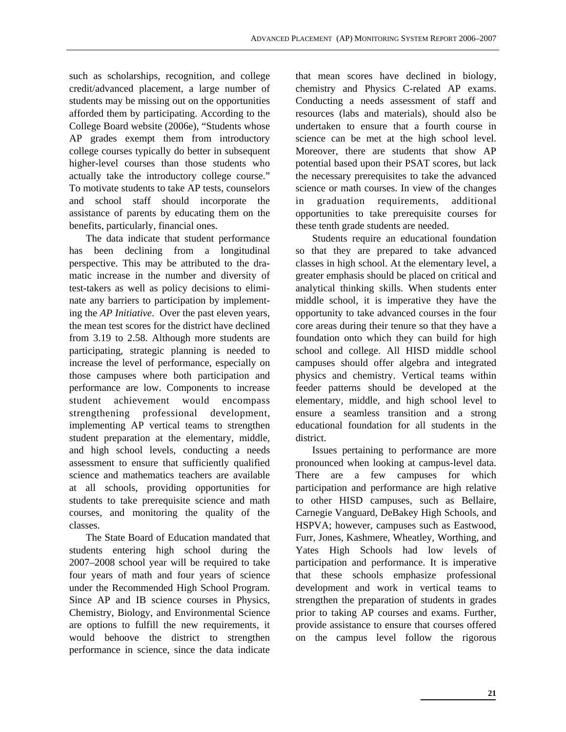such as scholarships, recognition, and college credit/advanced placement, a large number of students may be missing out on the opportunities afforded them by participating. According to the College Board website (2006e), "Students whose AP grades exempt them from introductory college courses typically do better in subsequent higher-level courses than those students who actually take the introductory college course." To motivate students to take AP tests, counselors and school staff should incorporate the assistance of parents by educating them on the benefits, particularly, financial ones.

The data indicate that student performance has been declining from a longitudinal perspective. This may be attributed to the dramatic increase in the number and diversity of test-takers as well as policy decisions to eliminate any barriers to participation by implementing the *AP Initiative*. Over the past eleven years, the mean test scores for the district have declined from 3.19 to 2.58. Although more students are participating, strategic planning is needed to increase the level of performance, especially on those campuses where both participation and performance are low. Components to increase student achievement would encompass strengthening professional development, implementing AP vertical teams to strengthen student preparation at the elementary, middle, and high school levels, conducting a needs assessment to ensure that sufficiently qualified science and mathematics teachers are available at all schools, providing opportunities for students to take prerequisite science and math courses, and monitoring the quality of the classes.

The State Board of Education mandated that students entering high school during the 2007–2008 school year will be required to take four years of math and four years of science under the Recommended High School Program. Since AP and IB science courses in Physics, Chemistry, Biology, and Environmental Science are options to fulfill the new requirements, it would behoove the district to strengthen performance in science, since the data indicate that mean scores have declined in biology, chemistry and Physics C-related AP exams. Conducting a needs assessment of staff and resources (labs and materials), should also be undertaken to ensure that a fourth course in science can be met at the high school level. Moreover, there are students that show AP potential based upon their PSAT scores, but lack the necessary prerequisites to take the advanced science or math courses. In view of the changes in graduation requirements, additional opportunities to take prerequisite courses for these tenth grade students are needed.

Students require an educational foundation so that they are prepared to take advanced classes in high school. At the elementary level, a greater emphasis should be placed on critical and analytical thinking skills. When students enter middle school, it is imperative they have the opportunity to take advanced courses in the four core areas during their tenure so that they have a foundation onto which they can build for high school and college. All HISD middle school campuses should offer algebra and integrated physics and chemistry. Vertical teams within feeder patterns should be developed at the elementary, middle, and high school level to ensure a seamless transition and a strong educational foundation for all students in the district.

Issues pertaining to performance are more pronounced when looking at campus-level data. There are a few campuses for which participation and performance are high relative to other HISD campuses, such as Bellaire, Carnegie Vanguard, DeBakey High Schools, and HSPVA; however, campuses such as Eastwood, Furr, Jones, Kashmere, Wheatley, Worthing, and Yates High Schools had low levels of participation and performance. It is imperative that these schools emphasize professional development and work in vertical teams to strengthen the preparation of students in grades prior to taking AP courses and exams. Further, provide assistance to ensure that courses offered on the campus level follow the rigorous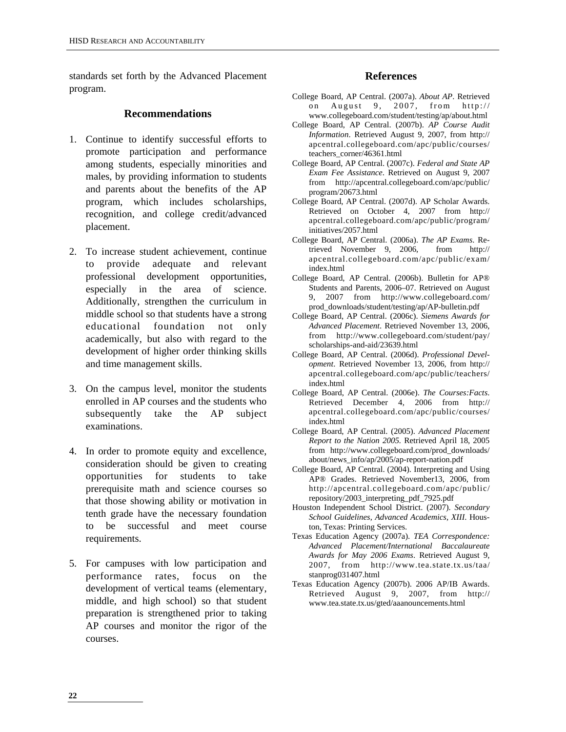standards set forth by the Advanced Placement program.

#### **Recommendations**

- 1. Continue to identify successful efforts to promote participation and performance among students, especially minorities and males, by providing information to students and parents about the benefits of the AP program, which includes scholarships, recognition, and college credit/advanced placement.
- 2. To increase student achievement, continue to provide adequate and relevant professional development opportunities, especially in the area of science. Additionally, strengthen the curriculum in middle school so that students have a strong educational foundation not only academically, but also with regard to the development of higher order thinking skills and time management skills.
- 3. On the campus level, monitor the students enrolled in AP courses and the students who subsequently take the AP subject examinations.
- 4. In order to promote equity and excellence, consideration should be given to creating opportunities for students to take prerequisite math and science courses so that those showing ability or motivation in tenth grade have the necessary foundation to be successful and meet course requirements.
- 5. For campuses with low participation and performance rates, focus on the development of vertical teams (elementary, middle, and high school) so that student preparation is strengthened prior to taking AP courses and monitor the rigor of the courses.

#### **References**

- College Board, AP Central. (2007a). *About AP*. Retrieved on August 9, 2007, from http:// www.collegeboard.com/student/testing/ap/about.html
- College Board, AP Central. (2007b). *AP Course Audit Information*. Retrieved August 9, 2007, from http:// apcentral.collegeboard.com/apc/public/courses/ teachers\_corner/46361.html
- College Board, AP Central. (2007c). *Federal and State AP Exam Fee Assistance*. Retrieved on August 9, 2007 from http://apcentral.collegeboard.com/apc/public/ program/20673.html
- College Board, AP Central. (2007d). AP Scholar Awards. Retrieved on October 4, 2007 from http:// apcentral.collegeboard.com/apc/public/program/ initiatives/2057.html
- College Board, AP Central. (2006a). *The AP Exams*. Retrieved November 9, 2006, from http:// apcentral.collegeboard.com/apc/public/exam/ index.html
- College Board, AP Central. (2006b). Bulletin for AP® Students and Parents, 2006–07. Retrieved on August 9, 2007 from http://www.collegeboard.com/ prod\_downloads/student/testing/ap/AP-bulletin.pdf
- College Board, AP Central. (2006c). *Siemens Awards for Advanced Placement*. Retrieved November 13, 2006, from http://www.collegeboard.com/student/pay/ scholarships-and-aid/23639.html
- College Board, AP Central. (2006d). *Professional Development*. Retrieved November 13, 2006, from http:// apcentral.collegeboard.com/apc/public/teachers/ index.html
- College Board, AP Central. (2006e). *The Courses:Facts*. Retrieved December 4, 2006 from http:// apcentral.collegeboard.com/apc/public/courses/ index.html
- College Board, AP Central. (2005). *Advanced Placement Report to the Nation 2005.* Retrieved April 18, 2005 from http://www.collegeboard.com/prod\_downloads/ about/news\_info/ap/2005/ap-report-nation.pdf
- College Board, AP Central. (2004). Interpreting and Using AP® Grades. Retrieved November13, 2006, from http://apcentral.collegeboard.com/apc/public/ repository/2003\_interpreting\_pdf\_7925.pdf
- Houston Independent School District. (2007). *Secondary School Guidelines, Advanced Academics, XIII*. Houston, Texas: Printing Services.
- Texas Education Agency (2007a). *TEA Correspondence: Advanced Placement/International Baccalaureate Awards for May 2006 Exams*. Retrieved August 9, 2007, from http://www.tea.state.tx.us/taa/ stanprog031407.html
- Texas Education Agency (2007b). 2006 AP/IB Awards. Retrieved August 9, 2007, from http:// www.tea.state.tx.us/gted/aaanouncements.html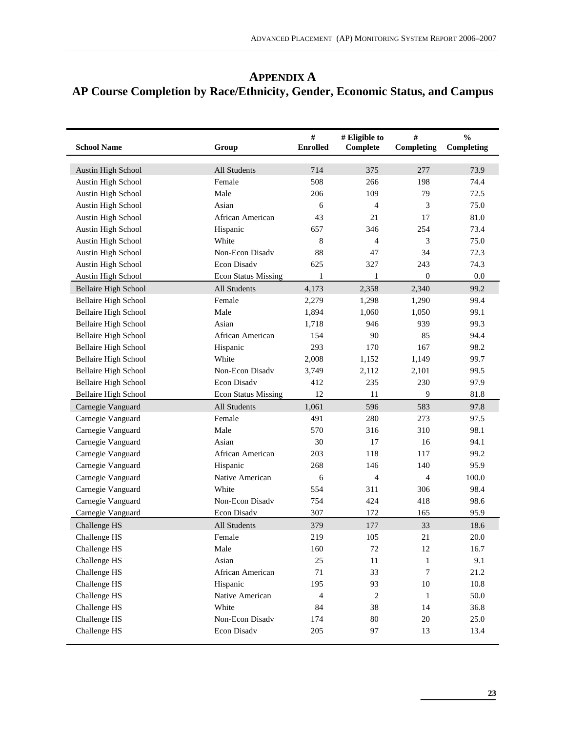# **APPENDIX A AP Course Completion by Race/Ethnicity, Gender, Economic Status, and Campus**

| <b>School Name</b>          | Group                      | $\#$<br><b>Enrolled</b> | # Eligible to<br>Complete | $\#$<br>Completing | $\frac{0}{0}$<br>Completing |
|-----------------------------|----------------------------|-------------------------|---------------------------|--------------------|-----------------------------|
| Austin High School          | All Students               | 714                     | 375                       | 277                | 73.9                        |
| Austin High School          | Female                     | 508                     | 266                       | 198                | 74.4                        |
| Austin High School          | Male                       | 206                     | 109                       | 79                 | 72.5                        |
| Austin High School          | Asian                      | 6                       | 4                         | 3                  | 75.0                        |
| Austin High School          | African American           | 43                      | 21                        | 17                 | 81.0                        |
| Austin High School          | Hispanic                   | 657                     | 346                       | 254                | 73.4                        |
| Austin High School          | White                      | 8                       | 4                         | 3                  | 75.0                        |
| Austin High School          | Non-Econ Disadv            | 88                      | 47                        | 34                 | 72.3                        |
| Austin High School          | Econ Disadv                | 625                     | 327                       | 243                | 74.3                        |
| Austin High School          | <b>Econ Status Missing</b> | 1                       | 1                         | $\boldsymbol{0}$   | $0.0\,$                     |
| <b>Bellaire High School</b> | All Students               | 4,173                   | 2,358                     | 2,340              | 99.2                        |
| <b>Bellaire High School</b> | Female                     | 2,279                   | 1,298                     | 1,290              | 99.4                        |
| <b>Bellaire High School</b> | Male                       | 1,894                   | 1,060                     | 1,050              | 99.1                        |
| <b>Bellaire High School</b> | Asian                      | 1,718                   | 946                       | 939                | 99.3                        |
| <b>Bellaire High School</b> | African American           | 154                     | 90                        | 85                 | 94.4                        |
| <b>Bellaire High School</b> | Hispanic                   | 293                     | 170                       | 167                | 98.2                        |
| <b>Bellaire High School</b> | White                      | 2,008                   | 1,152                     | 1,149              | 99.7                        |
| <b>Bellaire High School</b> | Non-Econ Disadv            | 3,749                   | 2,112                     | 2,101              | 99.5                        |
| <b>Bellaire High School</b> | Econ Disadv                | 412                     | 235                       | 230                | 97.9                        |
| <b>Bellaire High School</b> | <b>Econ Status Missing</b> | 12                      | 11                        | 9                  | 81.8                        |
| Carnegie Vanguard           | All Students               | 1,061                   | 596                       | 583                | 97.8                        |
| Carnegie Vanguard           | Female                     | 491                     | 280                       | 273                | 97.5                        |
| Carnegie Vanguard           | Male                       | 570                     | 316                       | 310                | 98.1                        |
| Carnegie Vanguard           | Asian                      | 30                      | 17                        | 16                 | 94.1                        |
| Carnegie Vanguard           | African American           | 203                     | 118                       | 117                | 99.2                        |
| Carnegie Vanguard           | Hispanic                   | 268                     | 146                       | 140                | 95.9                        |
| Carnegie Vanguard           | Native American            | 6                       | $\overline{4}$            | 4                  | 100.0                       |
| Carnegie Vanguard           | White                      | 554                     | 311                       | 306                | 98.4                        |
| Carnegie Vanguard           | Non-Econ Disadv            | 754                     | 424                       | 418                | 98.6                        |
| Carnegie Vanguard           | Econ Disadv                | 307                     | 172                       | 165                | 95.9                        |
| Challenge HS                | All Students               | 379                     | 177                       | 33                 | 18.6                        |
| Challenge HS                | Female                     | 219                     | 105                       | 21                 | 20.0                        |
| Challenge HS                | Male                       | 160                     | 72                        | 12                 | 16.7                        |
| Challenge HS                | Asian                      | 25                      | $11\,$                    | 1                  | 9.1                         |
| Challenge HS                | African American           | $71\,$                  | 33                        | $\boldsymbol{7}$   | 21.2                        |
| Challenge HS                | Hispanic                   | 195                     | 93                        | 10                 | 10.8                        |
| Challenge HS                | Native American            | $\overline{4}$          | $\sqrt{2}$                | $\mathbf{1}$       | 50.0                        |
| Challenge HS                | White                      | 84                      | 38                        | 14                 | 36.8                        |
| Challenge HS                | Non-Econ Disadv            | 174                     | $80\,$                    | $20\,$             | 25.0                        |
| Challenge HS                | Econ Disadv                | 205                     | 97                        | 13                 | 13.4                        |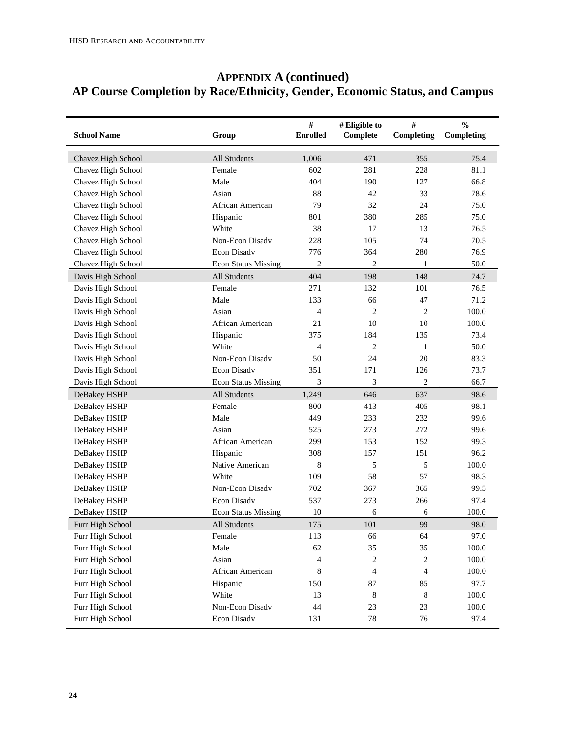# **APPENDIX A (continued) AP Course Completion by Race/Ethnicity, Gender, Economic Status, and Campus**

| <b>School Name</b> | Group                      | $\#$<br><b>Enrolled</b> | # Eligible to<br>Complete | $\#$<br>Completing | $\frac{0}{0}$<br>Completing |
|--------------------|----------------------------|-------------------------|---------------------------|--------------------|-----------------------------|
| Chavez High School | All Students               | 1,006                   | 471                       | 355                | 75.4                        |
| Chavez High School | Female                     | 602                     | 281                       | 228                | 81.1                        |
| Chavez High School | Male                       | 404                     | 190                       | 127                | 66.8                        |
| Chavez High School | Asian                      | 88                      | 42                        | 33                 | 78.6                        |
| Chavez High School | African American           | 79                      | 32                        | 24                 | 75.0                        |
| Chavez High School | Hispanic                   | 801                     | 380                       | 285                | 75.0                        |
| Chavez High School | White                      | 38                      | 17                        | 13                 | 76.5                        |
| Chavez High School | Non-Econ Disady            | 228                     | 105                       | 74                 | 70.5                        |
| Chavez High School | <b>Econ Disadv</b>         | 776                     | 364                       | 280                | 76.9                        |
| Chavez High School | <b>Econ Status Missing</b> | $\overline{c}$          | $\overline{c}$            | 1                  | 50.0                        |
| Davis High School  | All Students               | 404                     | 198                       | 148                | 74.7                        |
| Davis High School  | Female                     | 271                     | 132                       | 101                | 76.5                        |
| Davis High School  | Male                       | 133                     | 66                        | 47                 | 71.2                        |
| Davis High School  | Asian                      | $\overline{4}$          | $\overline{c}$            | 2                  | 100.0                       |
| Davis High School  | African American           | 21                      | 10                        | 10                 | 100.0                       |
| Davis High School  | Hispanic                   | 375                     | 184                       | 135                | 73.4                        |
| Davis High School  | White                      | 4                       | $\overline{c}$            | 1                  | 50.0                        |
| Davis High School  | Non-Econ Disady            | 50                      | 24                        | 20                 | 83.3                        |
| Davis High School  | Econ Disadv                | 351                     | 171                       | 126                | 73.7                        |
| Davis High School  | <b>Econ Status Missing</b> | 3                       | 3                         | 2                  | 66.7                        |
| DeBakey HSHP       | All Students               | 1,249                   | 646                       | 637                | 98.6                        |
| DeBakey HSHP       | Female                     | 800                     | 413                       | 405                | 98.1                        |
| DeBakey HSHP       | Male                       | 449                     | 233                       | 232                | 99.6                        |
| DeBakey HSHP       | Asian                      | 525                     | 273                       | 272                | 99.6                        |
| DeBakey HSHP       | African American           | 299                     | 153                       | 152                | 99.3                        |
| DeBakey HSHP       | Hispanic                   | 308                     | 157                       | 151                | 96.2                        |
| DeBakey HSHP       | Native American            | 8                       | 5                         | 5                  | 100.0                       |
| DeBakey HSHP       | White                      | 109                     | 58                        | 57                 | 98.3                        |
| DeBakey HSHP       | Non-Econ Disadv            | 702                     | 367                       | 365                | 99.5                        |
| DeBakey HSHP       | Econ Disadv                | 537                     | 273                       | 266                | 97.4                        |
| DeBakey HSHP       | <b>Econ Status Missing</b> | 10                      | 6                         | 6                  | 100.0                       |
| Furr High School   | All Students               | 175                     | 101                       | 99                 | 98.0                        |
| Furr High School   | Female                     | 113                     | 66                        | 64                 | 97.0                        |
| Furr High School   | Male                       | 62                      | 35                        | 35                 | 100.0                       |
| Furr High School   | Asian                      | $\overline{4}$          | 2                         | $\sqrt{2}$         | 100.0                       |
| Furr High School   | African American           | 8                       | 4                         | $\overline{4}$     | 100.0                       |
| Furr High School   | Hispanic                   | 150                     | 87                        | 85                 | 97.7                        |
| Furr High School   | White                      | 13                      | 8                         | $\,8\,$            | 100.0                       |
| Furr High School   | Non-Econ Disadv            | 44                      | 23                        | 23                 | 100.0                       |
| Furr High School   | Econ Disadv                | 131                     | $78\,$                    | 76                 | 97.4                        |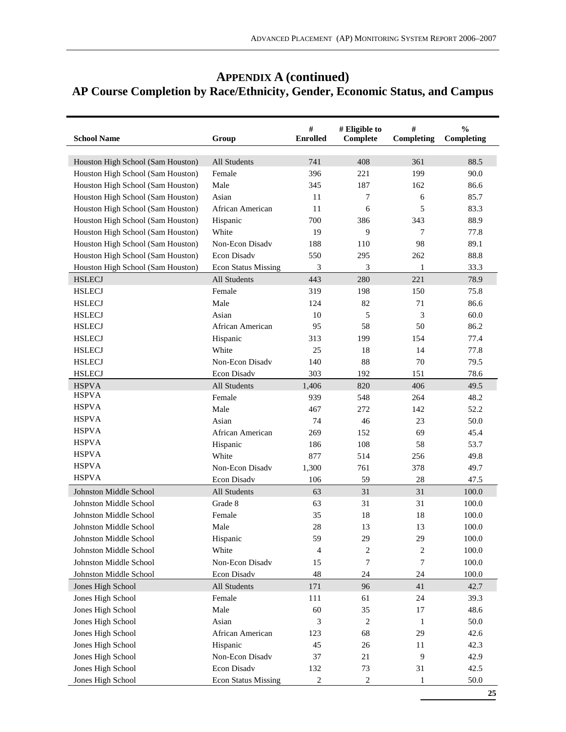| <b>APPENDIX A (continued)</b>                                               |
|-----------------------------------------------------------------------------|
| AP Course Completion by Race/Ethnicity, Gender, Economic Status, and Campus |

| <b>School Name</b>                | Group                      | #<br><b>Enrolled</b> | # Eligible to<br><b>Complete</b> | #<br>Completing  | $\frac{0}{0}$<br>Completing |
|-----------------------------------|----------------------------|----------------------|----------------------------------|------------------|-----------------------------|
| Houston High School (Sam Houston) | All Students               | 741                  | 408                              | 361              | 88.5                        |
| Houston High School (Sam Houston) | Female                     | 396                  | 221                              | 199              | 90.0                        |
| Houston High School (Sam Houston) | Male                       | 345                  | 187                              | 162              | 86.6                        |
| Houston High School (Sam Houston) | Asian                      | 11                   | 7                                | 6                | 85.7                        |
| Houston High School (Sam Houston) | African American           | 11                   | 6                                | 5                | 83.3                        |
| Houston High School (Sam Houston) | Hispanic                   | 700                  | 386                              | 343              | 88.9                        |
| Houston High School (Sam Houston) | White                      | 19                   | 9                                | 7                | 77.8                        |
| Houston High School (Sam Houston) | Non-Econ Disady            | 188                  | 110                              | 98               | 89.1                        |
| Houston High School (Sam Houston) | Econ Disadv                | 550                  | 295                              | 262              | 88.8                        |
| Houston High School (Sam Houston) | <b>Econ Status Missing</b> | 3                    | 3                                | $\mathbf{1}$     | 33.3                        |
| <b>HSLECJ</b>                     | All Students               | 443                  | 280                              | 221              | 78.9                        |
| <b>HSLECJ</b>                     | Female                     | 319                  | 198                              | 150              | 75.8                        |
| <b>HSLECJ</b>                     | Male                       | 124                  | 82                               | 71               | 86.6                        |
| <b>HSLECJ</b>                     | Asian                      | 10                   | 5                                | 3                | 60.0                        |
| <b>HSLECJ</b>                     | African American           | 95                   | 58                               | 50               | 86.2                        |
| <b>HSLECJ</b>                     | Hispanic                   | 313                  | 199                              | 154              | 77.4                        |
| <b>HSLECJ</b>                     | White                      | 25                   | 18                               | 14               | 77.8                        |
| <b>HSLECJ</b>                     | Non-Econ Disadv            | 140                  | 88                               | 70               | 79.5                        |
| <b>HSLECJ</b>                     | Econ Disadv                | 303                  | 192                              | 151              | 78.6                        |
| <b>HSPVA</b>                      | All Students               | 1,406                | 820                              | 406              | 49.5                        |
| <b>HSPVA</b>                      | Female                     | 939                  | 548                              | 264              | 48.2                        |
| <b>HSPVA</b>                      | Male                       | 467                  | 272                              | 142              | 52.2                        |
| <b>HSPVA</b>                      | Asian                      | 74                   | 46                               | 23               | 50.0                        |
| <b>HSPVA</b>                      | African American           | 269                  | 152                              | 69               | 45.4                        |
| <b>HSPVA</b>                      | Hispanic                   | 186                  | 108                              | 58               | 53.7                        |
| <b>HSPVA</b>                      | White                      | 877                  | 514                              | 256              | 49.8                        |
| <b>HSPVA</b>                      | Non-Econ Disadv            | 1,300                | 761                              | 378              | 49.7                        |
| <b>HSPVA</b>                      | Econ Disadv                | 106                  | 59                               | 28               | 47.5                        |
| Johnston Middle School            | <b>All Students</b>        | 63                   | 31                               | 31               | 100.0                       |
| Johnston Middle School            | Grade 8                    | 63                   | 31                               | 31               | 100.0                       |
| Johnston Middle School            | Female                     | 35                   | 18                               | 18               | 100.0                       |
| Johnston Middle School            | Male                       | 28                   | 13                               | 13               | 100.0                       |
| Johnston Middle School            | Hispanic                   | 59                   | 29                               | 29               | 100.0                       |
| Johnston Middle School            | White                      | 4                    | $\boldsymbol{2}$                 | $\boldsymbol{2}$ | 100.0                       |
| Johnston Middle School            | Non-Econ Disadv            | 15                   | 7                                | 7                | $100.0\,$                   |
| Johnston Middle School            | Econ Disadv                | 48                   | 24                               | 24               | 100.0                       |
| Jones High School                 | All Students               | 171                  | 96                               | 41               | 42.7                        |
| Jones High School                 | Female                     | 111                  | 61                               | 24               | 39.3                        |
| Jones High School                 | Male                       | 60                   | 35                               | 17               | 48.6                        |
| Jones High School                 | Asian                      | 3                    | 2                                | 1                | 50.0                        |
| Jones High School                 | African American           | 123                  | 68                               | 29               | 42.6                        |
| Jones High School                 | Hispanic                   | 45                   | 26                               | 11               | 42.3                        |
| Jones High School                 | Non-Econ Disadv            | 37                   | $21\,$                           | 9                | 42.9                        |
| Jones High School                 | Econ Disadv                | 132                  | 73                               | 31               | 42.5                        |
| Jones High School                 | <b>Econ Status Missing</b> | $\boldsymbol{2}$     | $\sqrt{2}$                       | $\mathbf{1}$     | 50.0                        |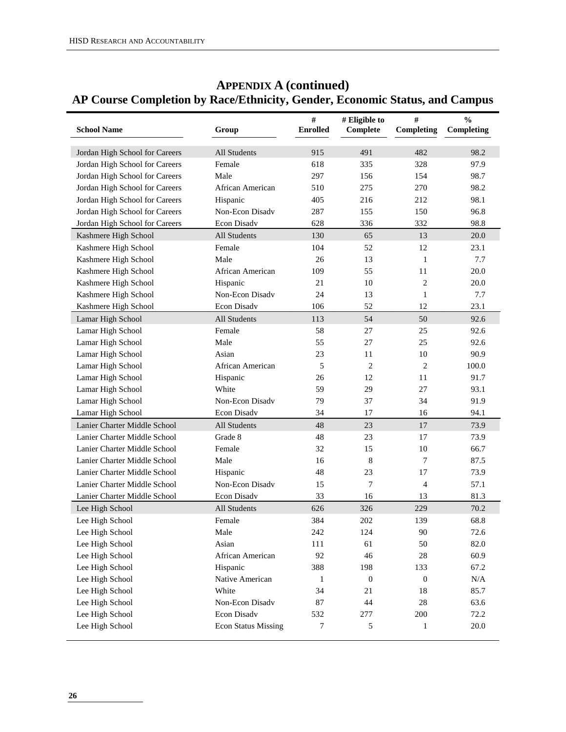| <b>School Name</b>             | Group                      | $\#$<br><b>Enrolled</b> | # Eligible to<br>Complete | #<br>Completing | $\frac{0}{0}$<br>Completing |
|--------------------------------|----------------------------|-------------------------|---------------------------|-----------------|-----------------------------|
|                                |                            |                         |                           |                 |                             |
| Jordan High School for Careers | <b>All Students</b>        | 915                     | 491                       | 482             | 98.2                        |
| Jordan High School for Careers | Female                     | 618                     | 335                       | 328             | 97.9                        |
| Jordan High School for Careers | Male                       | 297                     | 156                       | 154             | 98.7                        |
| Jordan High School for Careers | African American           | 510                     | 275                       | 270             | 98.2                        |
| Jordan High School for Careers | Hispanic                   | 405                     | 216                       | 212             | 98.1                        |
| Jordan High School for Careers | Non-Econ Disadv            | 287                     | 155                       | 150             | 96.8                        |
| Jordan High School for Careers | Econ Disadv                | 628                     | 336                       | 332             | 98.8                        |
| Kashmere High School           | All Students               | 130                     | 65                        | 13              | 20.0                        |
| Kashmere High School           | Female                     | 104                     | 52                        | 12              | 23.1                        |
| Kashmere High School           | Male                       | 26                      | 13                        | $\mathbf{1}$    | 7.7                         |
| Kashmere High School           | African American           | 109                     | 55                        | 11              | 20.0                        |
| Kashmere High School           | Hispanic                   | 21                      | 10                        | 2               | 20.0                        |
| Kashmere High School           | Non-Econ Disadv            | 24                      | 13                        | 1               | 7.7                         |
| Kashmere High School           | Econ Disadv                | 106                     | 52                        | 12              | 23.1                        |
| Lamar High School              | All Students               | 113                     | 54                        | 50              | 92.6                        |
| Lamar High School              | Female                     | 58                      | 27                        | 25              | 92.6                        |
| Lamar High School              | Male                       | 55                      | 27                        | 25              | 92.6                        |
| Lamar High School              | Asian                      | 23                      | 11                        | 10              | 90.9                        |
| Lamar High School              | African American           | 5                       | $\overline{2}$            | 2               | 100.0                       |
| Lamar High School              | Hispanic                   | 26                      | 12                        | 11              | 91.7                        |
| Lamar High School              | White                      | 59                      | 29                        | 27              | 93.1                        |
| Lamar High School              | Non-Econ Disadv            | 79                      | 37                        | 34              | 91.9                        |
| Lamar High School              | Econ Disadv                | 34                      | 17                        | 16              | 94.1                        |
| Lanier Charter Middle School   | All Students               | 48                      | 23                        | 17              | 73.9                        |
| Lanier Charter Middle School   | Grade 8                    | 48                      | 23                        | 17              | 73.9                        |
| Lanier Charter Middle School   | Female                     | 32                      | 15                        | 10              | 66.7                        |
| Lanier Charter Middle School   | Male                       | 16                      | 8                         | 7               | 87.5                        |
| Lanier Charter Middle School   | Hispanic                   | 48                      | 23                        | 17              | 73.9                        |
| Lanier Charter Middle School   | Non-Econ Disadv            | 15                      | 7                         | $\overline{4}$  | 57.1                        |
| Lanier Charter Middle School   | Econ Disadv                | 33                      | 16                        | 13              | 81.3                        |
| Lee High School                | All Students               | 626                     | 326                       | 229             | 70.2                        |
| Lee High School                | Female                     | 384                     | 202                       | 139             | 68.8                        |
| Lee High School                | Male                       | 242                     | 124                       | 90              | 72.6                        |
| Lee High School                | Asian                      | 111                     | 61                        | 50              | 82.0                        |
| Lee High School                | African American           | 92                      | 46                        | 28              | 60.9                        |
| Lee High School                | Hispanic                   | 388                     | 198                       | 133             | 67.2                        |
| Lee High School                | Native American            | 1                       | $\boldsymbol{0}$          | $\mathbf{0}$    | $\rm N/A$                   |
| Lee High School                | White                      | 34                      | 21                        | 18              | 85.7                        |
| Lee High School                | Non-Econ Disadv            | 87                      | 44                        | $28\,$          | 63.6                        |
| Lee High School                | Econ Disadv                | 532                     | 277                       | 200             | 72.2                        |
| Lee High School                | <b>Econ Status Missing</b> | 7                       | 5                         | 1               | 20.0                        |
|                                |                            |                         |                           |                 |                             |

# **APPENDIX A (continued) AP Course Completion by Race/Ethnicity, Gender, Economic Status, and Campus**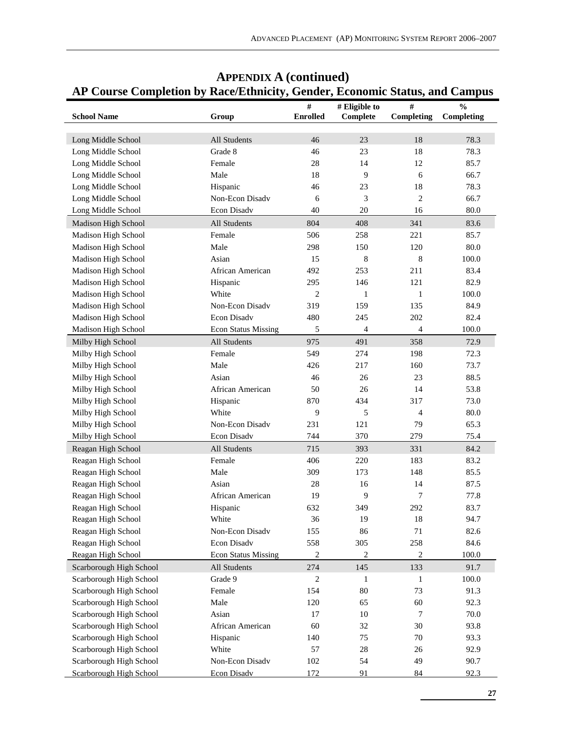| <b>School Name</b>      | Group                      | $\#$<br><b>Enrolled</b> | # Eligible to<br>Complete | #<br>Completing | д,<br>$\frac{0}{0}$<br>Completing |
|-------------------------|----------------------------|-------------------------|---------------------------|-----------------|-----------------------------------|
|                         |                            |                         |                           |                 |                                   |
| Long Middle School      | All Students               | 46                      | 23                        | 18              | 78.3                              |
| Long Middle School      | Grade 8                    | 46                      | 23                        | 18              | 78.3                              |
| Long Middle School      | Female                     | $28\,$                  | 14                        | 12              | 85.7                              |
| Long Middle School      | Male                       | 18                      | 9                         | 6               | 66.7                              |
| Long Middle School      | Hispanic                   | 46                      | 23                        | 18              | 78.3                              |
| Long Middle School      | Non-Econ Disadv            | 6                       | 3                         | $\overline{c}$  | 66.7                              |
| Long Middle School      | Econ Disadv                | 40                      | 20                        | 16              | 80.0                              |
| Madison High School     | <b>All Students</b>        | 804                     | 408                       | 341             | 83.6                              |
| Madison High School     | Female                     | 506                     | 258                       | 221             | 85.7                              |
| Madison High School     | Male                       | 298                     | 150                       | 120             | 80.0                              |
| Madison High School     | Asian                      | 15                      | $\,8\,$                   | 8               | 100.0                             |
| Madison High School     | African American           | 492                     | 253                       | 211             | 83.4                              |
| Madison High School     | Hispanic                   | 295                     | 146                       | 121             | 82.9                              |
| Madison High School     | White                      | $\overline{c}$          | 1                         | $\mathbf{1}$    | 100.0                             |
| Madison High School     | Non-Econ Disadv            | 319                     | 159                       | 135             | 84.9                              |
| Madison High School     | Econ Disadv                | 480                     | 245                       | 202             | 82.4                              |
| Madison High School     | <b>Econ Status Missing</b> | 5                       | $\overline{\mathcal{A}}$  | $\overline{4}$  | 100.0                             |
| Milby High School       | All Students               | 975                     | 491                       | 358             | 72.9                              |
| Milby High School       | Female                     | 549                     | 274                       | 198             | 72.3                              |
| Milby High School       | Male                       | 426                     | 217                       | 160             | 73.7                              |
| Milby High School       | Asian                      | 46                      | 26                        | 23              | 88.5                              |
| Milby High School       | African American           | 50                      | 26                        | 14              | 53.8                              |
| Milby High School       | Hispanic                   | 870                     | 434                       | 317             | 73.0                              |
| Milby High School       | White                      | 9                       | 5                         | 4               | 80.0                              |
| Milby High School       | Non-Econ Disadv            | 231                     | 121                       | 79              | 65.3                              |
| Milby High School       | Econ Disadv                | 744                     | 370                       | 279             | 75.4                              |
| Reagan High School      | All Students               | 715                     | 393                       | 331             | 84.2                              |
| Reagan High School      | Female                     | 406                     | 220                       | 183             | 83.2                              |
| Reagan High School      | Male                       | 309                     | 173                       | 148             | 85.5                              |
| Reagan High School      | Asian                      | $28\,$                  | 16                        | 14              | 87.5                              |
| Reagan High School      | African American           | 19                      | 9                         | 7               | 77.8                              |
| Reagan High School      | Hispanic                   | 632                     | 349                       | 292             | 83.7                              |
| Reagan High School      | White                      | 36                      | 19                        | 18              | 94.7                              |
| Reagan High School      | Non-Econ Disadv            | 155                     | 86                        | 71              | 82.6                              |
| Reagan High School      | Econ Disadv                | 558                     | 305                       | 258             | 84.6                              |
| Reagan High School      | <b>Econ Status Missing</b> | $\sqrt{2}$              | $\boldsymbol{2}$          | 2               | 100.0                             |
| Scarborough High School | All Students               | 274                     | 145                       | 133             | 91.7                              |
| Scarborough High School | Grade 9                    | 2                       | $\mathbf{1}$              | $\mathbf{1}$    | 100.0                             |
| Scarborough High School | Female                     | 154                     | 80                        | 73              | 91.3                              |
| Scarborough High School | Male                       | 120                     | 65                        | 60              | 92.3                              |
| Scarborough High School | Asian                      | 17                      | 10                        | 7               | $70.0\,$                          |
| Scarborough High School | African American           | 60                      | 32                        | $30\,$          | 93.8                              |
| Scarborough High School | Hispanic                   | 140                     | 75                        | 70              | 93.3                              |
| Scarborough High School | White                      | 57                      | $28\,$                    | 26              | 92.9                              |
| Scarborough High School | Non-Econ Disadv            | 102                     | 54                        | 49              | 90.7                              |
| Scarborough High School | Econ Disadv                | 172                     | 91                        | 84              | 92.3                              |

# **APPENDIX A (continued) AP Course Completion by Race/Ethnicity, Gender, Economic Status, and Campus**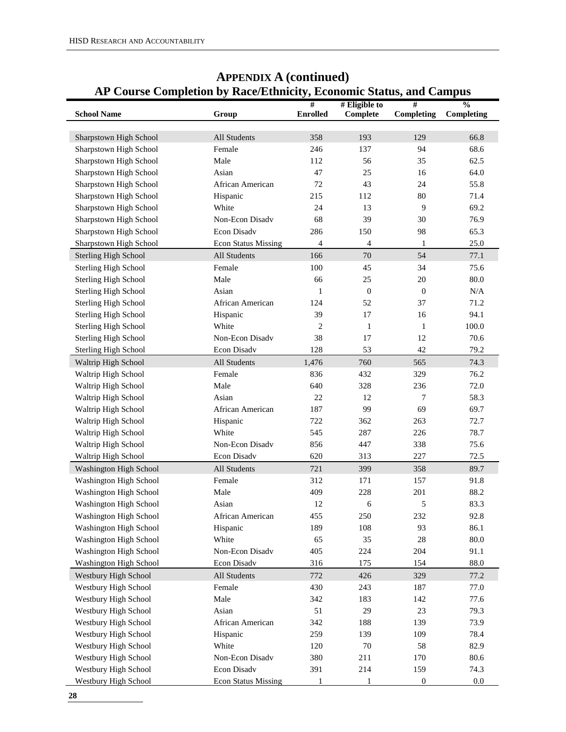|                             |                            | ັ້<br>#         | # Eligible to    | #                | $\frac{0}{0}$ |
|-----------------------------|----------------------------|-----------------|------------------|------------------|---------------|
| <b>School Name</b>          | Group                      | <b>Enrolled</b> | Complete         | Completing       | Completing    |
| Sharpstown High School      | All Students               | 358             | 193              | 129              | 66.8          |
| Sharpstown High School      | Female                     | 246             | 137              | 94               | 68.6          |
| Sharpstown High School      | Male                       | 112             | 56               | 35               | 62.5          |
| Sharpstown High School      | Asian                      | 47              | 25               | 16               | 64.0          |
| Sharpstown High School      | African American           | 72              | 43               | 24               | 55.8          |
| Sharpstown High School      | Hispanic                   | 215             | 112              | 80               | 71.4          |
| Sharpstown High School      | White                      | 24              | 13               | 9                | 69.2          |
| Sharpstown High School      | Non-Econ Disadv            | 68              | 39               | 30               | 76.9          |
| Sharpstown High School      | Econ Disadv                | 286             | 150              | 98               | 65.3          |
| Sharpstown High School      | <b>Econ Status Missing</b> | 4               | 4                | $\mathbf{1}$     | 25.0          |
| <b>Sterling High School</b> | All Students               | 166             | 70               | 54               |               |
|                             | Female                     | 100             | 45               | 34               | 77.1<br>75.6  |
| <b>Sterling High School</b> |                            |                 |                  |                  |               |
| <b>Sterling High School</b> | Male                       | 66              | 25               | 20               | 80.0          |
| Sterling High School        | Asian                      | 1               | $\boldsymbol{0}$ | $\mathbf{0}$     | $\rm N/A$     |
| <b>Sterling High School</b> | African American           | 124             | 52               | 37               | 71.2          |
| Sterling High School        | Hispanic                   | 39              | 17               | 16               | 94.1          |
| Sterling High School        | White                      | $\overline{c}$  | $\mathbf{1}$     | $\mathbf{1}$     | 100.0         |
| Sterling High School        | Non-Econ Disadv            | 38              | 17               | 12               | 70.6          |
| <b>Sterling High School</b> | Econ Disadv                | 128             | 53               | 42               | 79.2          |
| Waltrip High School         | All Students               | 1,476           | 760              | 565              | 74.3          |
| Waltrip High School         | Female                     | 836             | 432              | 329              | 76.2          |
| Waltrip High School         | Male                       | 640             | 328              | 236              | 72.0          |
| Waltrip High School         | Asian                      | 22              | 12               | 7                | 58.3          |
| Waltrip High School         | African American           | 187             | 99               | 69               | 69.7          |
| Waltrip High School         | Hispanic                   | 722             | 362              | 263              | 72.7          |
| Waltrip High School         | White                      | 545             | 287              | 226              | 78.7          |
| Waltrip High School         | Non-Econ Disadv            | 856             | 447              | 338              | 75.6          |
| Waltrip High School         | Econ Disadv                | 620             | 313              | 227              | 72.5          |
| Washington High School      | All Students               | 721             | 399              | 358              | 89.7          |
| Washington High School      | Female                     | 312             | 171              | 157              | 91.8          |
| Washington High School      | Male                       | 409             | 228              | 201              | 88.2          |
| Washington High School      | Asian                      | 12              | 6                | 5                | 83.3          |
| Washington High School      | African American           | 455             | 250              | 232              | 92.8          |
| Washington High School      | Hispanic                   | 189             | 108              | 93               | 86.1          |
| Washington High School      | White                      | 65              | 35               | $28\,$           | 80.0          |
| Washington High School      | Non-Econ Disadv            | 405             | 224              | 204              | 91.1          |
| Washington High School      | Econ Disadv                | 316             | 175              | 154              | 88.0          |
| Westbury High School        | All Students               | 772             | 426              | 329              | 77.2          |
| Westbury High School        | Female                     | 430             | 243              | 187              | 77.0          |
| Westbury High School        | Male                       | 342             | 183              | 142              | 77.6          |
| Westbury High School        | Asian                      | 51              | 29               | 23               | 79.3          |
| Westbury High School        | African American           | 342             | 188              | 139              | 73.9          |
| Westbury High School        | Hispanic                   | 259             | 139              | 109              | 78.4          |
| Westbury High School        | White                      | 120             | $70\,$           | 58               | 82.9          |
| Westbury High School        | Non-Econ Disadv            | 380             | 211              | 170              | 80.6          |
| Westbury High School        | Econ Disadv                | 391             | 214              | 159              | 74.3          |
| <b>Westbury High School</b> | <b>Econ Status Missing</b> | 1               | $\mathbf{1}$     | $\boldsymbol{0}$ | 0.0           |

# **APPENDIX A (continued) AP Course Completion by Race/Ethnicity, Economic Status, and Campus**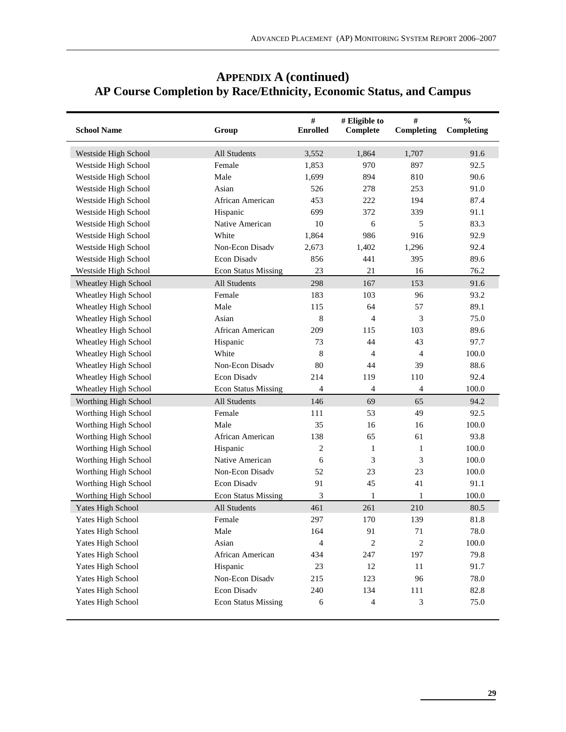| <b>School Name</b>   | Group                      | $\#$<br><b>Enrolled</b> | # Eligible to<br>Complete | #<br>Completing | $\frac{0}{0}$<br>Completing |
|----------------------|----------------------------|-------------------------|---------------------------|-----------------|-----------------------------|
| Westside High School | All Students               | 3,552                   | 1,864                     | 1,707           | 91.6                        |
| Westside High School | Female                     | 1,853                   | 970                       | 897             | 92.5                        |
| Westside High School | Male                       | 1,699                   | 894                       | 810             | 90.6                        |
| Westside High School | Asian                      | 526                     | 278                       | 253             | 91.0                        |
| Westside High School | African American           | 453                     | 222                       | 194             | 87.4                        |
| Westside High School | Hispanic                   | 699                     | 372                       | 339             | 91.1                        |
| Westside High School | Native American            | 10                      | 6                         | 5               | 83.3                        |
| Westside High School | White                      | 1,864                   | 986                       | 916             | 92.9                        |
| Westside High School | Non-Econ Disadv            | 2,673                   | 1,402                     | 1,296           | 92.4                        |
| Westside High School | Econ Disadv                | 856                     | 441                       | 395             | 89.6                        |
| Westside High School | <b>Econ Status Missing</b> | 23                      | 21                        | 16              | 76.2                        |
| Wheatley High School | All Students               | 298                     | 167                       | 153             | 91.6                        |
| Wheatley High School | Female                     | 183                     | 103                       | 96              | 93.2                        |
| Wheatley High School | Male                       | 115                     | 64                        | 57              | 89.1                        |
| Wheatley High School | Asian                      | 8                       | $\overline{4}$            | 3               | 75.0                        |
| Wheatley High School | African American           | 209                     | 115                       | 103             | 89.6                        |
| Wheatley High School | Hispanic                   | 73                      | 44                        | 43              | 97.7                        |
| Wheatley High School | White                      | 8                       | 4                         | $\overline{4}$  | 100.0                       |
| Wheatley High School | Non-Econ Disady            | 80                      | 44                        | 39              | 88.6                        |
| Wheatley High School | <b>Econ Disadv</b>         | 214                     | 119                       | 110             | 92.4                        |
| Wheatley High School | <b>Econ Status Missing</b> | 4                       | 4                         | $\overline{4}$  | 100.0                       |
| Worthing High School | All Students               | 146                     | 69                        | 65              | 94.2                        |
| Worthing High School | Female                     | 111                     | 53                        | 49              | 92.5                        |
| Worthing High School | Male                       | 35                      | 16                        | 16              | 100.0                       |
| Worthing High School | African American           | 138                     | 65                        | 61              | 93.8                        |
| Worthing High School | Hispanic                   | 2                       | 1                         | $\mathbf{1}$    | 100.0                       |
| Worthing High School | Native American            | 6                       | 3                         | 3               | 100.0                       |
| Worthing High School | Non-Econ Disady            | 52                      | 23                        | 23              | 100.0                       |
| Worthing High School | Econ Disadv                | 91                      | 45                        | 41              | 91.1                        |
| Worthing High School | <b>Econ Status Missing</b> | 3                       | 1                         | 1               | 100.0                       |
| Yates High School    | All Students               | 461                     | 261                       | 210             | 80.5                        |
| Yates High School    | Female                     | 297                     | 170                       | 139             | 81.8                        |
| Yates High School    | Male                       | 164                     | 91                        | 71              | 78.0                        |
| Yates High School    | Asian                      | $\overline{4}$          | $\overline{c}$            | $\overline{c}$  | 100.0                       |
| Yates High School    | African American           | 434                     | 247                       | 197             | 79.8                        |
| Yates High School    | Hispanic                   | 23                      | 12                        | 11              | 91.7                        |
| Yates High School    | Non-Econ Disadv            | 215                     | 123                       | 96              | 78.0                        |
| Yates High School    | Econ Disadv                | 240                     | 134                       | 111             | 82.8                        |
| Yates High School    | <b>Econ Status Missing</b> | 6                       | 4                         | 3               | 75.0                        |

# **APPENDIX A (continued) AP Course Completion by Race/Ethnicity, Economic Status, and Campus**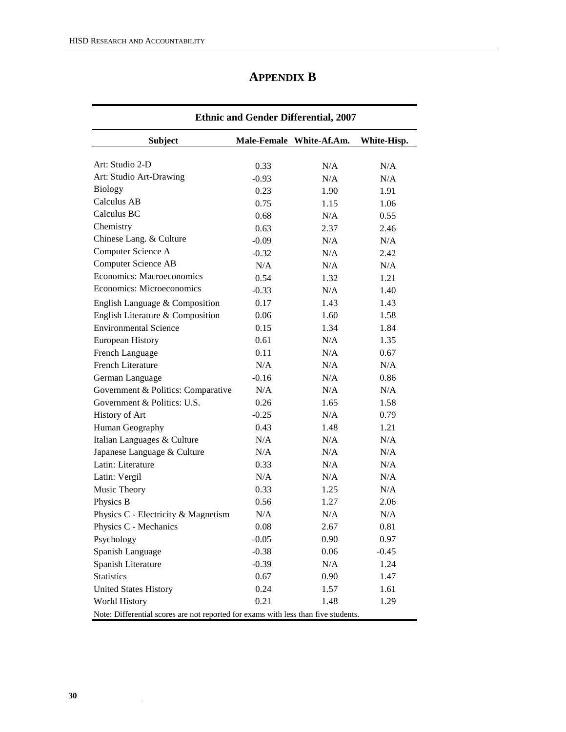| <b>APPENDIX B</b> |  |
|-------------------|--|
|-------------------|--|

| <b>Ethnic and Gender Differential, 2007</b>                                        |         |                          |             |  |  |  |  |  |  |
|------------------------------------------------------------------------------------|---------|--------------------------|-------------|--|--|--|--|--|--|
| <b>Subject</b>                                                                     |         | Male-Female White-Af.Am. | White-Hisp. |  |  |  |  |  |  |
| Art: Studio 2-D                                                                    | 0.33    | N/A                      | N/A         |  |  |  |  |  |  |
| Art: Studio Art-Drawing                                                            | $-0.93$ | N/A                      | N/A         |  |  |  |  |  |  |
| <b>Biology</b>                                                                     | 0.23    | 1.90                     | 1.91        |  |  |  |  |  |  |
| Calculus AB                                                                        | 0.75    | 1.15                     | 1.06        |  |  |  |  |  |  |
| Calculus BC                                                                        | 0.68    | N/A                      | 0.55        |  |  |  |  |  |  |
| Chemistry                                                                          | 0.63    | 2.37                     | 2.46        |  |  |  |  |  |  |
| Chinese Lang. & Culture                                                            | $-0.09$ | N/A                      | N/A         |  |  |  |  |  |  |
| Computer Science A                                                                 | $-0.32$ | N/A                      | 2.42        |  |  |  |  |  |  |
| <b>Computer Science AB</b>                                                         | N/A     | N/A                      | N/A         |  |  |  |  |  |  |
| Economics: Macroeconomics                                                          | 0.54    | 1.32                     | 1.21        |  |  |  |  |  |  |
| Economics: Microeconomics                                                          | $-0.33$ | N/A                      | 1.40        |  |  |  |  |  |  |
| English Language & Composition                                                     | 0.17    | 1.43                     | 1.43        |  |  |  |  |  |  |
| English Literature & Composition                                                   | 0.06    | 1.60                     | 1.58        |  |  |  |  |  |  |
| <b>Environmental Science</b>                                                       | 0.15    | 1.34                     | 1.84        |  |  |  |  |  |  |
| <b>European History</b>                                                            | 0.61    | N/A                      | 1.35        |  |  |  |  |  |  |
| French Language                                                                    | 0.11    | N/A                      | 0.67        |  |  |  |  |  |  |
| <b>French Literature</b>                                                           | N/A     | N/A                      | N/A         |  |  |  |  |  |  |
| German Language                                                                    | $-0.16$ | N/A                      | 0.86        |  |  |  |  |  |  |
| Government & Politics: Comparative                                                 | N/A     | N/A                      | N/A         |  |  |  |  |  |  |
| Government & Politics: U.S.                                                        | 0.26    | 1.65                     | 1.58        |  |  |  |  |  |  |
| History of Art                                                                     | $-0.25$ | N/A                      | 0.79        |  |  |  |  |  |  |
| Human Geography                                                                    | 0.43    | 1.48                     | 1.21        |  |  |  |  |  |  |
| Italian Languages & Culture                                                        | N/A     | N/A                      | N/A         |  |  |  |  |  |  |
| Japanese Language & Culture                                                        | N/A     | N/A                      | N/A         |  |  |  |  |  |  |
| Latin: Literature                                                                  | 0.33    | N/A                      | N/A         |  |  |  |  |  |  |
| Latin: Vergil                                                                      | N/A     | N/A                      | N/A         |  |  |  |  |  |  |
| Music Theory                                                                       | 0.33    | 1.25                     | N/A         |  |  |  |  |  |  |
| Physics B                                                                          | 0.56    | 1.27                     | 2.06        |  |  |  |  |  |  |
| Physics C - Electricity & Magnetism                                                | N/A     | N/A                      | N/A         |  |  |  |  |  |  |
| Physics C - Mechanics                                                              | 0.08    | 2.67                     | 0.81        |  |  |  |  |  |  |
| Psychology                                                                         | $-0.05$ | 0.90                     | 0.97        |  |  |  |  |  |  |
| Spanish Language                                                                   | $-0.38$ | 0.06                     | $-0.45$     |  |  |  |  |  |  |
| Spanish Literature                                                                 | $-0.39$ | N/A                      | 1.24        |  |  |  |  |  |  |
| <b>Statistics</b>                                                                  | 0.67    | 0.90                     | 1.47        |  |  |  |  |  |  |
| <b>United States History</b>                                                       | 0.24    | 1.57                     | 1.61        |  |  |  |  |  |  |
| World History                                                                      | 0.21    | 1.48                     | 1.29        |  |  |  |  |  |  |
| Note: Differential scores are not reported for exams with less than five students. |         |                          |             |  |  |  |  |  |  |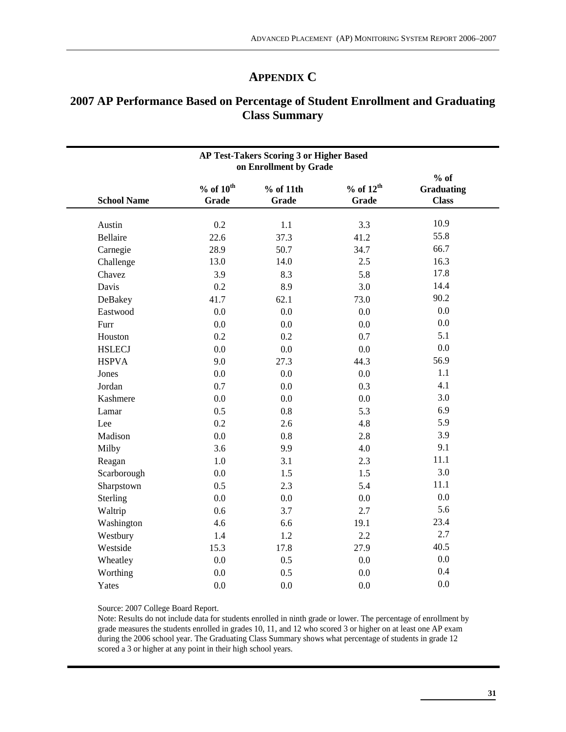# **APPENDIX C**

# **2007 AP Performance Based on Percentage of Student Enrollment and Graduating Class Summary**

| AP Test-Takers Scoring 3 or Higher Based<br>on Enrollment by Grade |                        |                    |                        |                                             |  |  |  |  |
|--------------------------------------------------------------------|------------------------|--------------------|------------------------|---------------------------------------------|--|--|--|--|
| <b>School Name</b>                                                 | $%$ of $10th$<br>Grade | % of 11th<br>Grade | $%$ of $12th$<br>Grade | $%$ of<br><b>Graduating</b><br><b>Class</b> |  |  |  |  |
| Austin                                                             | 0.2                    | 1.1                | 3.3                    | 10.9                                        |  |  |  |  |
| Bellaire                                                           | 22.6                   | 37.3               | 41.2                   | 55.8                                        |  |  |  |  |
| Carnegie                                                           | 28.9                   | 50.7               | 34.7                   | 66.7                                        |  |  |  |  |
| Challenge                                                          | 13.0                   | 14.0               | 2.5                    | 16.3                                        |  |  |  |  |
| Chavez                                                             | 3.9                    | 8.3                | 5.8                    | 17.8                                        |  |  |  |  |
| Davis                                                              | 0.2                    | 8.9                | 3.0                    | 14.4                                        |  |  |  |  |
| DeBakey                                                            | 41.7                   | 62.1               | 73.0                   | 90.2                                        |  |  |  |  |
| Eastwood                                                           | 0.0                    | 0.0                | 0.0                    | 0.0                                         |  |  |  |  |
| Furr                                                               | 0.0                    | 0.0                | 0.0                    | 0.0                                         |  |  |  |  |
| Houston                                                            | 0.2                    | 0.2                | 0.7                    | 5.1                                         |  |  |  |  |
| <b>HSLECJ</b>                                                      | 0.0                    | 0.0                | 0.0                    | 0.0                                         |  |  |  |  |
| <b>HSPVA</b>                                                       | 9.0                    | 27.3               | 44.3                   | 56.9                                        |  |  |  |  |
| Jones                                                              | 0.0                    | 0.0                | 0.0                    | 1.1                                         |  |  |  |  |
| Jordan                                                             | 0.7                    | 0.0                | 0.3                    | 4.1                                         |  |  |  |  |
| Kashmere                                                           | 0.0                    | 0.0                | 0.0                    | 3.0                                         |  |  |  |  |
| Lamar                                                              | 0.5                    | 0.8                | 5.3                    | 6.9                                         |  |  |  |  |
| Lee                                                                | 0.2                    | 2.6                | 4.8                    | 5.9                                         |  |  |  |  |
| Madison                                                            | 0.0                    | 0.8                | 2.8                    | 3.9                                         |  |  |  |  |
| Milby                                                              | 3.6                    | 9.9                | 4.0                    | 9.1                                         |  |  |  |  |
| Reagan                                                             | 1.0                    | 3.1                | 2.3                    | 11.1                                        |  |  |  |  |
| Scarborough                                                        | 0.0                    | 1.5                | 1.5                    | 3.0                                         |  |  |  |  |
| Sharpstown                                                         | 0.5                    | 2.3                | 5.4                    | 11.1                                        |  |  |  |  |
| Sterling                                                           | 0.0                    | 0.0                | 0.0                    | 0.0                                         |  |  |  |  |
| Waltrip                                                            | 0.6                    | 3.7                | 2.7                    | 5.6                                         |  |  |  |  |
| Washington                                                         | 4.6                    | 6.6                | 19.1                   | 23.4                                        |  |  |  |  |
| Westbury                                                           | 1.4                    | 1.2                | 2.2                    | 2.7                                         |  |  |  |  |
| Westside                                                           | 15.3                   | 17.8               | 27.9                   | 40.5                                        |  |  |  |  |
| Wheatley                                                           | 0.0                    | 0.5                | 0.0                    | 0.0                                         |  |  |  |  |
| Worthing                                                           | 0.0                    | 0.5                | 0.0                    | 0.4                                         |  |  |  |  |
| Yates                                                              | 0.0                    | 0.0                | 0.0                    | 0.0                                         |  |  |  |  |
|                                                                    |                        |                    |                        |                                             |  |  |  |  |

Source: 2007 College Board Report.

Note: Results do not include data for students enrolled in ninth grade or lower. The percentage of enrollment by grade measures the students enrolled in grades 10, 11, and 12 who scored 3 or higher on at least one AP exam during the 2006 school year. The Graduating Class Summary shows what percentage of students in grade 12 scored a 3 or higher at any point in their high school years.